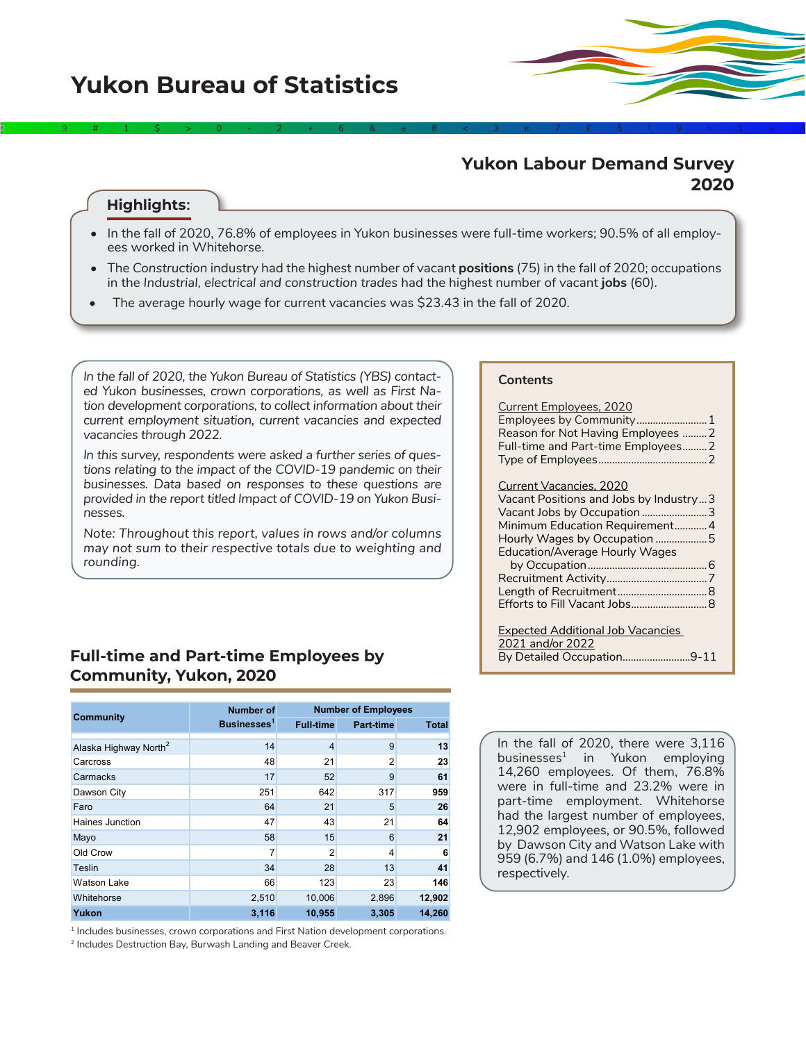## **Yukon Labour Demand Survey 2020**

### **Highlights:**

• In the fall of 2020, 76.8% of employees in Yukon businesses were full-time workers; 90.5% of all employees worked in Whitehorse.

2÷9#1\$>0-2+6&±8<3π7£5‡9≈1∞^

- The *Construction* industry had the highest number of vacant **positions** (75) in the fall of 2020; occupations in the *Industrial, electrical and construction trades* had the highest number of vacant **jobs** (60).
- The average hourly wage for current vacancies was \$23.43 in the fall of 2020.

*In the fall of 2020, the Yukon Bureau of Statistics (YBS) contacted Yukon businesses, crown corporations, as well as First Nation development corporations, to collect information about their current employment situation, current vacancies and expected vacancies through 2022.* 

*In this survey, respondents were asked a further series of questions relating to the impact of the COVID-19 pandemic on their businesses. Data based on responses to these questions are provided in the report titled Impact of COVID-19 on Yukon Businesses.*

*Note: Throughout this report, values in rows and/or columns may not sum to their respective totals due to weighting and rounding.* 

### **Full-time and Part-time Employees by Community, Yukon, 2020**

|                                   | <b>Number of</b>        |                  | <b>Number of Employees</b> |              |  |  |  |
|-----------------------------------|-------------------------|------------------|----------------------------|--------------|--|--|--|
| <b>Community</b>                  | Businesses <sup>1</sup> | <b>Full-time</b> | <b>Part-time</b>           | <b>Total</b> |  |  |  |
|                                   |                         |                  |                            |              |  |  |  |
| Alaska Highway North <sup>2</sup> | 14                      | $\overline{4}$   | 9                          | 13           |  |  |  |
| Carcross                          | 48                      | 21               | $\overline{2}$             | 23           |  |  |  |
| Carmacks                          | 17                      | 52               | 9                          | 61           |  |  |  |
| Dawson City                       | 251                     | 642              | 317                        | 959          |  |  |  |
| Faro                              | 64                      | 21               | 5                          | 26           |  |  |  |
| Haines Junction                   | 47                      | 43               | 21                         | 64           |  |  |  |
| Mayo                              | 58                      | 15               | 6                          | 21           |  |  |  |
| Old Crow                          | 7                       | $\overline{2}$   | 4                          | 6            |  |  |  |
| Teslin                            | 34                      | 28               | 13                         | 41           |  |  |  |
| <b>Watson Lake</b>                | 66                      | 123              | 23                         | 146          |  |  |  |
| Whitehorse                        | 2,510                   | 10,006           | 2,896                      | 12,902       |  |  |  |
| Yukon                             | 3,116                   | 10,955           | 3,305                      | 14.260       |  |  |  |

<sup>1</sup> Includes businesses, crown corporations and First Nation development corporations.

2 Includes Destruction Bay, Burwash Landing and Beaver Creek.

#### **Contents**

| <b>Current Employees, 2020</b><br>Employees by Community1<br>Reason for Not Having Employees  2<br>Full-time and Part-time Employees2                                                                              |
|--------------------------------------------------------------------------------------------------------------------------------------------------------------------------------------------------------------------|
| <b>Current Vacancies, 2020</b><br>Vacant Positions and Jobs by Industry3<br>Vacant Jobs by Occupation 3<br>Minimum Education Requirement4<br>Hourly Wages by Occupation 5<br><b>Education/Average Hourly Wages</b> |
| <b>Expected Additional Job Vacancies</b><br>2021 and/or 2022                                                                                                                                                       |

By Detailed Occupation.........................[9-1](#page-7-0)1

In the fall of 2020, there were 3,116 businesses<sup>1</sup> in Yukon employing 14,260 employees. Of them, 76.8% were in full-time and 23.2% were in part-time employment. Whitehorse had the largest number of employees, 12,902 employees, or 90.5%, followed by Dawson City and Watson Lake with 959 (6.7%) and 146 (1.0%) employees, respectively.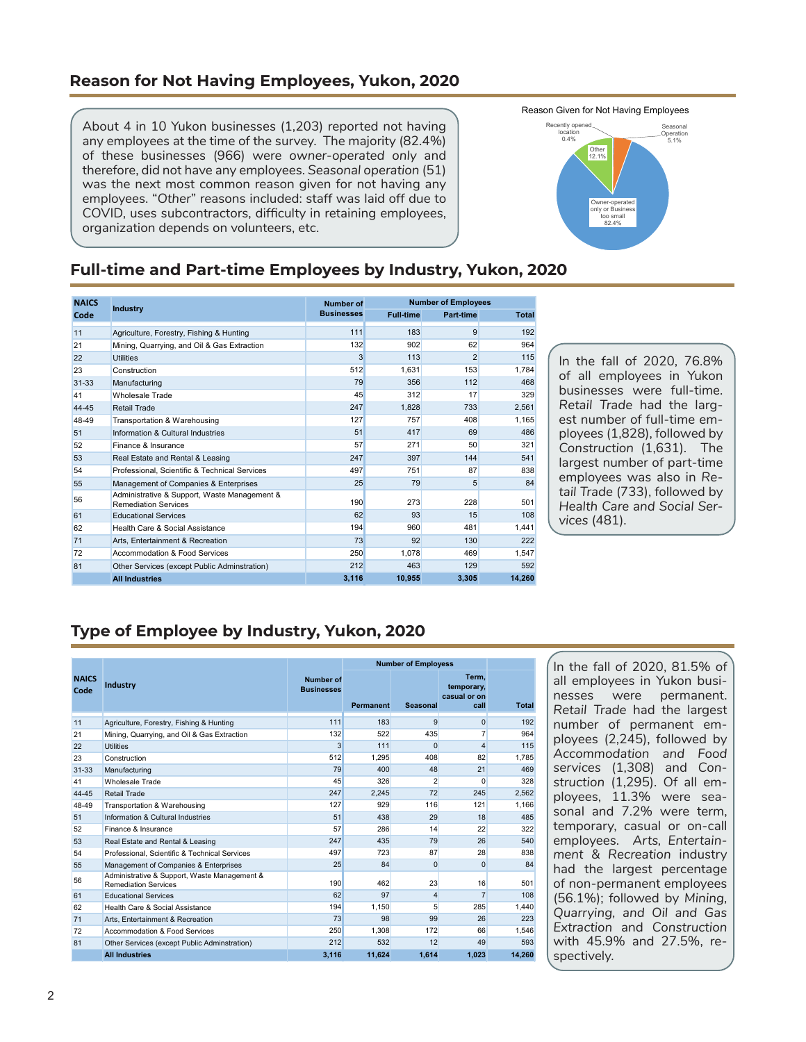### <span id="page-1-0"></span>**Reason for Not Having Employees, Yukon, 2020**

About 4 in 10 Yukon businesses (1,203) reported not having any employees at the time of the survey. The majority (82.4%) of these businesses (966) were *owner-operated only* and therefore, did not have any employees. *Seasonal operation* (51) was the next most common reason given for not having any employees. "*Other*" reasons included: staff was laid off due to COVID, uses subcontractors, difficulty in retaining employees, organization depends on volunteers, etc.



### **Full-time and Part-time Employees by Industry, Yukon, 2020**

| <b>NAICS</b> |                                                                             | <b>Number of</b>  |                  | <b>Number of Employees</b> |        |  |  |  |
|--------------|-----------------------------------------------------------------------------|-------------------|------------------|----------------------------|--------|--|--|--|
| Code         | <b>Industry</b>                                                             | <b>Businesses</b> | <b>Full-time</b> | Part-time                  | Total  |  |  |  |
| 11           | Agriculture, Forestry, Fishing & Hunting                                    | 111               | 183              | 9                          | 192    |  |  |  |
| 21           | Mining, Quarrying, and Oil & Gas Extraction                                 | 132               | 902              | 62                         | 964    |  |  |  |
| 22           | <b>Utilities</b>                                                            | 3                 | 113              | $\overline{2}$             | 115    |  |  |  |
| 23           | Construction                                                                | 512               | 1.631            | 153                        | 1,784  |  |  |  |
| $31 - 33$    | Manufacturing                                                               | 79                | 356              | 112                        | 468    |  |  |  |
| 41           | Wholesale Trade                                                             | 45                | 312              | 17                         | 329    |  |  |  |
| 44-45        | <b>Retail Trade</b>                                                         | 247               | 1.828            | 733                        | 2,561  |  |  |  |
| 48-49        | Transportation & Warehousing                                                | 127               | 757              | 408                        | 1,165  |  |  |  |
| 51           | Information & Cultural Industries                                           | 51                | 417              | 69                         | 486    |  |  |  |
| 52           | Finance & Insurance                                                         | 57                | 271              | 50                         | 321    |  |  |  |
| 53           | Real Estate and Rental & Leasing                                            | 247               | 397              | 144                        | 541    |  |  |  |
| 54           | Professional, Scientific & Technical Services                               | 497               | 751              | 87                         | 838    |  |  |  |
| 55           | Management of Companies & Enterprises                                       | 25                | 79               | 5                          | 84     |  |  |  |
| 56           | Administrative & Support, Waste Management &<br><b>Remediation Services</b> | 190               | 273              | 228                        | 501    |  |  |  |
| 61           | <b>Educational Services</b>                                                 | 62                | 93               | 15                         | 108    |  |  |  |
| 62           | Health Care & Social Assistance                                             | 194               | 960              | 481                        | 1.441  |  |  |  |
| 71           | Arts. Entertainment & Recreation                                            | 73                | 92               | 130                        | 222    |  |  |  |
| 72           | Accommodation & Food Services                                               | 250               | 1.078            | 469                        | 1.547  |  |  |  |
| 81           | Other Services (except Public Adminstration)                                | 212               | 463              | 129                        | 592    |  |  |  |
|              | <b>All Industries</b>                                                       | 3,116             | 10,955           | 3,305                      | 14.260 |  |  |  |

In the fall of 2020, 76.8% of all employees in Yukon businesses were full-time. *Retail Trade* had the largest number of full-time employees (1,828), followed by *Construction* (1,631). The largest number of part-time employees was also in *Retail Trade* (733), followed by *Health Care and Social Services* (481).

# **Type of Employee by Industry, Yukon, 2020**

|                      |                                                                             |                                       | <b>Number of Employess</b> |                |                                              |        |
|----------------------|-----------------------------------------------------------------------------|---------------------------------------|----------------------------|----------------|----------------------------------------------|--------|
| <b>NAICS</b><br>Code | <b>Industry</b>                                                             | <b>Number of</b><br><b>Businesses</b> | Permanent                  | Seasonal       | Term.<br>temporary,<br>casual or on-<br>call | Total  |
| 11                   | Agriculture, Forestry, Fishing & Hunting                                    | 111                                   | 183                        | 9              | $\Omega$                                     | 192    |
| 21                   | Mining, Quarrying, and Oil & Gas Extraction                                 | 132                                   | 522                        | 435            | $\overline{7}$                               | 964    |
| 22                   | <b>Utilities</b>                                                            | 3                                     | 111                        | $\Omega$       | $\overline{\mathbf{4}}$                      | 115    |
| 23                   | Construction                                                                | 512                                   | 1.295                      | 408            | 82                                           | 1.785  |
| $31 - 33$            | Manufacturing                                                               | 79                                    | 400                        | 48             | 21                                           | 469    |
| 41                   | Wholesale Trade                                                             | 45                                    | 326                        | $\overline{c}$ | $\Omega$                                     | 328    |
| 44-45                | Retail Trade                                                                | 247                                   | 2.245                      | 72             | 245                                          | 2.562  |
| 48-49                | Transportation & Warehousing                                                | 127                                   | 929                        | 116            | 121                                          | 1,166  |
| 51                   | Information & Cultural Industries                                           | 51                                    | 438                        | 29             | 18                                           | 485    |
| 52                   | Finance & Insurance                                                         | 57                                    | 286                        | 14             | 22                                           | 322    |
| 53                   | Real Estate and Rental & Leasing                                            | 247                                   | 435                        | 79             | 26                                           | 540    |
| 54                   | Professional, Scientific & Technical Services                               | 497                                   | 723                        | 87             | 28                                           | 838    |
| 55                   | Management of Companies & Enterprises                                       | 25                                    | 84                         | $\Omega$       | $\Omega$                                     | 84     |
| 56                   | Administrative & Support, Waste Management &<br><b>Remediation Services</b> | 190                                   | 462                        | 23             | 16                                           | 501    |
| 61                   | <b>Educational Services</b>                                                 | 62                                    | 97                         | $\overline{4}$ | $\overline{7}$                               | 108    |
| 62                   | Health Care & Social Assistance                                             | 194                                   | 1.150                      | 5              | 285                                          | 1.440  |
| 71                   | Arts. Entertainment & Recreation                                            | 73                                    | 98                         | 99             | 26                                           | 223    |
| 72                   | Accommodation & Food Services                                               | 250                                   | 1.308                      | 172            | 66                                           | 1.546  |
| 81                   | Other Services (except Public Adminstration)                                | 212                                   | 532                        | 12             | 49                                           | 593    |
|                      | <b>All Industries</b>                                                       | 3.116                                 | 11.624                     | 1.614          | 1.023                                        | 14.260 |

In the fall of 2020, 81.5% of all employees in Yukon businesses were permanent. *Retail Trade* had the largest number of permanent employees (2,245), followed by *Accommodation and Food services* (1,308) and *Construction* (1,295). Of all employees, 11.3% were seasonal and 7.2% were term, temporary, casual or on-call employees. *Arts, Entertainment & Recreation* industry had the largest percentage of non-permanent employees (56.1%); followed by *Mining, Quarrying, and Oil and Gas Extraction* and *Construction*  with 45.9% and 27.5%, respectively.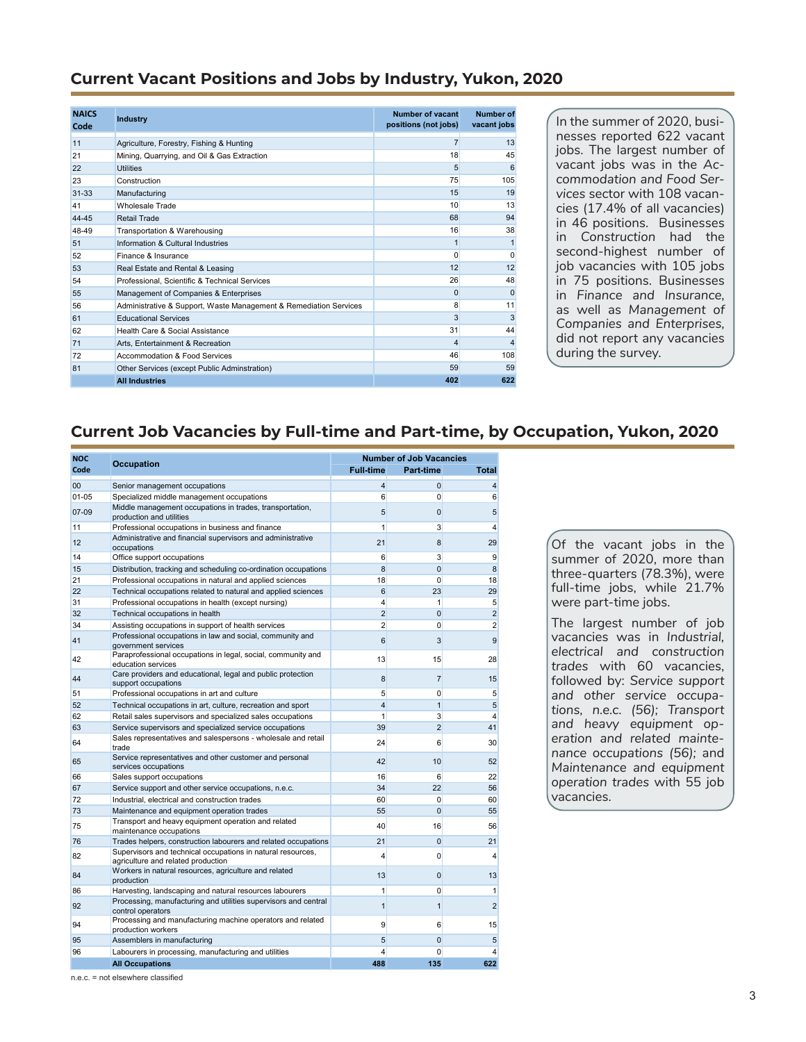### <span id="page-2-0"></span>**Current Vacant Positions and Jobs by Industry, Yukon, 2020**

| <b>NAICS</b><br>Code | <b>Industry</b>                                                   | Number of vacant<br>positions (not jobs) | Number of<br>vacant jobs |
|----------------------|-------------------------------------------------------------------|------------------------------------------|--------------------------|
| 11                   | Agriculture, Forestry, Fishing & Hunting                          | 7                                        | 13                       |
| 21                   | Mining, Quarrying, and Oil & Gas Extraction                       | 18                                       | 45                       |
| 22                   | <b>Utilities</b>                                                  | 5                                        | 6                        |
| 23                   | Construction                                                      | 75                                       | 105                      |
| $31 - 33$            | Manufacturing                                                     | 15                                       | 19                       |
| 41                   | Wholesale Trade                                                   | 10                                       | 13                       |
| 44-45                | Retail Trade                                                      | 68                                       | 94                       |
| 48-49                | Transportation & Warehousing                                      | 16                                       | 38                       |
| 51                   | Information & Cultural Industries                                 |                                          | 1                        |
| 52                   | Finance & Insurance                                               | 0                                        | $\Omega$                 |
| 53                   | Real Estate and Rental & Leasing                                  | 12                                       | 12                       |
| 54                   | Professional, Scientific & Technical Services                     | 26                                       | 48                       |
| 55                   | Management of Companies & Enterprises                             | $\Omega$                                 | $\Omega$                 |
| 56                   | Administrative & Support, Waste Management & Remediation Services | 8                                        | 11                       |
| 61                   | <b>Educational Services</b>                                       | 3                                        | 3                        |
| 62                   | Health Care & Social Assistance                                   | 31                                       | 44                       |
| 71                   | Arts, Entertainment & Recreation                                  | 4                                        | $\overline{4}$           |
| 72                   | Accommodation & Food Services                                     | 46                                       | 108                      |
| 81                   | Other Services (except Public Adminstration)                      | 59                                       | 59                       |
|                      | <b>All Industries</b>                                             | 402                                      | 622                      |

In the summer of 2020, businesses reported 622 vacant jobs. The largest number of vacant jobs was in the *Accommodation and Food Services* sector with 108 vacancies (17.4% of all vacancies) in 46 positions. Businesses in *Construction* had the second-highest number of job vacancies with 105 jobs in 75 positions. Businesses in *Finance and Insurance,*  as well as *Management of Companies and Enterprises,* did not report any vacancies during the survey.

### **Current Job Vacancies by Full-time and Part-time, by Occupation, Yukon, 2020**

| <b>NOC</b> | Occupation                                                                                        | <b>Number of Job Vacancies</b> |                |                 |  |  |
|------------|---------------------------------------------------------------------------------------------------|--------------------------------|----------------|-----------------|--|--|
| Code       |                                                                                                   | <b>Full-time</b>               | Part-time      | <b>Total</b>    |  |  |
| 00         | Senior management occupations                                                                     | $\overline{4}$                 | 0              | $\overline{4}$  |  |  |
| $01 - 05$  | Specialized middle management occupations                                                         | 6                              | $\Omega$       | 6               |  |  |
| $07-09$    | Middle management occupations in trades, transportation,<br>production and utilities              | 5                              | $\mathbf{0}$   | $5\overline{)}$ |  |  |
| 11         | Professional occupations in business and finance                                                  | $\mathbf{1}$                   | 3              | 4               |  |  |
| 12         | Administrative and financial supervisors and administrative<br>occupations                        | 21                             | 8              | 29              |  |  |
| 14         | Office support occupations                                                                        | 6                              | 3              | 9               |  |  |
| 15         | Distribution, tracking and scheduling co-ordination occupations                                   | 8                              | $\mathbf 0$    | 8               |  |  |
| 21         | Professional occupations in natural and applied sciences                                          | 18                             | 0              | 18              |  |  |
| 22         | Technical occupations related to natural and applied sciences                                     | $6\overline{6}$                | 23             | 29              |  |  |
| 31         | Professional occupations in health (except nursing)                                               | $\overline{4}$                 | 1              | 5               |  |  |
| 32         | Technical occupations in health                                                                   | $\overline{2}$                 | $\Omega$       | $\overline{2}$  |  |  |
| 34         | Assisting occupations in support of health services                                               | $\overline{2}$                 | $\mathbf{0}$   | $\overline{2}$  |  |  |
| 41         | Professional occupations in law and social, community and<br>government services                  | 6                              | 3              | 9               |  |  |
| 42         | Paraprofessional occupations in legal, social, community and<br>education services                | 13                             | 15             | 28              |  |  |
| 44         | Care providers and educational, legal and public protection<br>support occupations                | 8                              | $\overline{7}$ | 15              |  |  |
| 51         | Professional occupations in art and culture                                                       | 5                              | $\mathbf{0}$   | $5\overline{)}$ |  |  |
| 52         | Technical occupations in art, culture, recreation and sport                                       | $\overline{4}$                 | $\mathbf{1}$   | $5\overline{)}$ |  |  |
| 62         | Retail sales supervisors and specialized sales occupations                                        | 1                              | $\mathbf{3}$   | $\overline{4}$  |  |  |
| 63         | Service supervisors and specialized service occupations                                           | 39                             | $\overline{2}$ | 41              |  |  |
| 64         | Sales representatives and salespersons - wholesale and retail<br>trade                            | 24                             | 6              | 30              |  |  |
| 65         | Service representatives and other customer and personal<br>services occupations                   | 42                             | 10             | 52              |  |  |
| 66         | Sales support occupations                                                                         | 16                             | 6              | 22              |  |  |
| 67         | Service support and other service occupations, n.e.c.                                             | 34                             | 22             | 56              |  |  |
| 72         | Industrial, electrical and construction trades                                                    | 60                             | 0              | 60              |  |  |
| 73         | Maintenance and equipment operation trades                                                        | 55                             | $\mathbf 0$    | 55              |  |  |
| 75         | Transport and heavy equipment operation and related<br>maintenance occupations                    | 40                             | 16             | 56              |  |  |
| 76         | Trades helpers, construction labourers and related occupations                                    | 21                             | $\mathbf 0$    | 21              |  |  |
| 82         | Supervisors and technical occupations in natural resources,<br>agriculture and related production | 4                              | 0              | 4               |  |  |
| 84         | Workers in natural resources, agriculture and related<br>production                               | 13                             | $\Omega$       | 13              |  |  |
| 86         | Harvesting, landscaping and natural resources labourers                                           | 1                              | 0              | 1               |  |  |
| 92         | Processing, manufacturing and utilities supervisors and central<br>control operators              | $\mathbf{1}$                   | $\overline{1}$ | $\overline{2}$  |  |  |
| 94         | Processing and manufacturing machine operators and related<br>production workers                  | 9                              | 6              | 15              |  |  |
| 95         | Assemblers in manufacturing                                                                       | 5                              | $\mathbf 0$    | $5\overline{)}$ |  |  |
| 96         | Labourers in processing, manufacturing and utilities                                              | $\overline{4}$                 | $\mathbf{0}$   | $\overline{4}$  |  |  |
|            | <b>All Occupations</b>                                                                            | 488                            | 135            | 622             |  |  |

Of the vacant jobs in the summer of 2020, more than three-quarters (78.3%), were full-time jobs, while 21.7% were part-time jobs.

The largest number of job vacancies was in *Industrial, electrical and construction trades* with 60 vacancies, followed by: *Service support and other service occupations, n.e.c. (56); Transport and heavy equipment operation and related maintenance occupations (56);* and *Maintenance and equipment operation trades* with 55 job vacancies.

n.e.c. = not elsewhere classified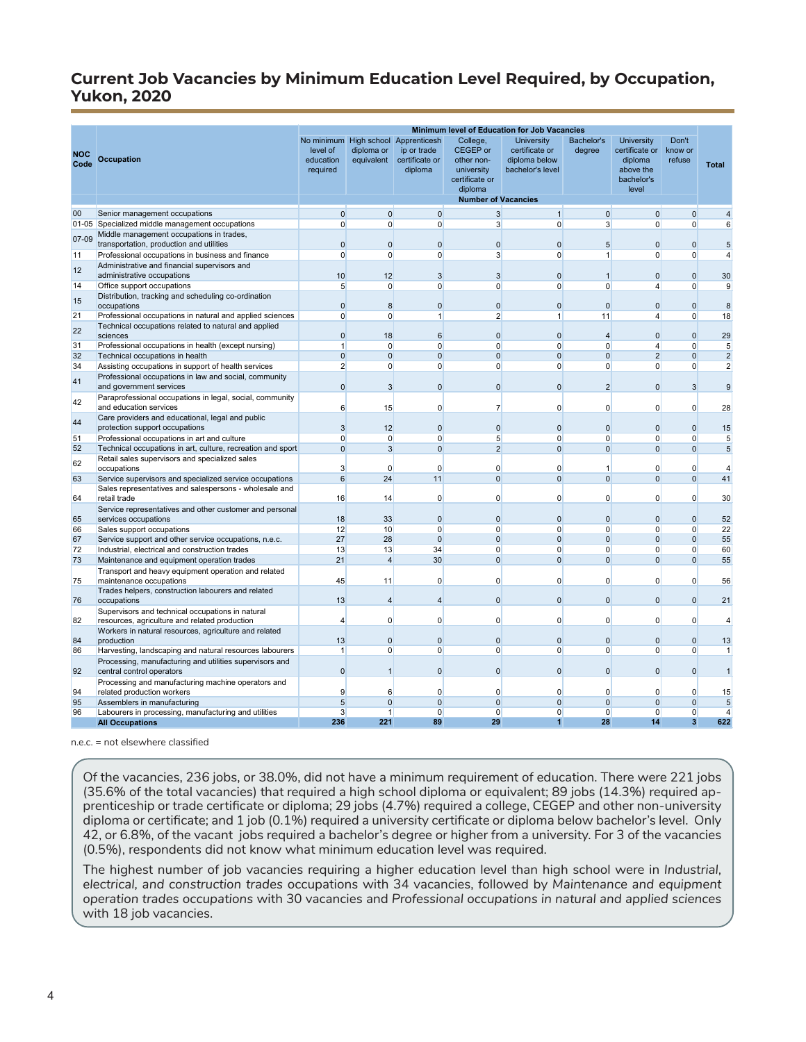### <span id="page-3-0"></span>**Current Job Vacancies by Minimum Education Level Required, by Occupation, Yukon, 2020**

|             | Minimum level of Education for Job Vacancies                                                      |                                                 |                          |                                                                      |                                                                               |                                                                   |                      |                                                                                    |                            |                                |
|-------------|---------------------------------------------------------------------------------------------------|-------------------------------------------------|--------------------------|----------------------------------------------------------------------|-------------------------------------------------------------------------------|-------------------------------------------------------------------|----------------------|------------------------------------------------------------------------------------|----------------------------|--------------------------------|
| NOC<br>Code | <b>Occupation</b>                                                                                 | No minimum<br>level of<br>education<br>required | diploma or<br>equivalent | High school Apprenticesh<br>ip or trade<br>certificate or<br>diploma | College,<br>CEGEP or<br>other non-<br>university<br>certificate or<br>diploma | University<br>certificate or<br>diploma below<br>bachelor's level | Bachelor's<br>degree | <b>University</b><br>certificate or<br>diploma<br>above the<br>bachelor's<br>level | Don't<br>know or<br>refuse | <b>Total</b>                   |
|             |                                                                                                   |                                                 |                          |                                                                      | <b>Number of Vacancies</b>                                                    |                                                                   |                      |                                                                                    |                            |                                |
| 00          | Senior management occupations                                                                     | $\overline{0}$                                  | $\mathbf 0$              | $\overline{0}$                                                       | $\overline{3}$                                                                | $\overline{1}$                                                    | $\overline{0}$       | $\mathbf 0$                                                                        | $\mathbf{0}$               | 4                              |
|             | 01-05 Specialized middle management occupations                                                   | $\overline{0}$                                  | $\mathbf{0}$             | $\Omega$                                                             | 3 <sup>1</sup>                                                                | $\Omega$                                                          | $\overline{3}$       | $\Omega$                                                                           | 0                          | 6                              |
| $07-09$     | Middle management occupations in trades,<br>transportation, production and utilities              | $\mathbf 0$                                     | $\mathbf 0$              | $\mathbf{0}$                                                         | $\mathbf 0$                                                                   | $\mathbf 0$                                                       | 5                    | $\mathbf 0$                                                                        | $\mathbf{0}$               | 5                              |
| 11          | Professional occupations in business and finance                                                  | $\Omega$                                        | $\Omega$                 | $\Omega$                                                             | $\overline{3}$                                                                | $\Omega$                                                          | $\overline{1}$       | $\Omega$                                                                           | $\Omega$                   | 4                              |
| 12          | Administrative and financial supervisors and<br>administrative occupations                        | 10                                              | 12                       | 3                                                                    | 3                                                                             | $\mathbf 0$                                                       | $\overline{1}$       | $\mathbf 0$                                                                        | $\overline{0}$             | 30                             |
| 14          | Office support occupations                                                                        | $5\overline{)}$                                 | $\mathbf{0}$             | $\mathbf 0$                                                          | $\mathbf{0}$                                                                  | $\mathbf 0$                                                       | $\mathbf 0$          | 4                                                                                  | 0                          | 9                              |
| 15          | Distribution, tracking and scheduling co-ordination<br>occupations                                | $\mathbf 0$                                     | 8                        | $\mathbf 0$                                                          | $\mathbf 0$                                                                   | $\mathbf{0}$                                                      | $\mathbf{0}$         | $\mathbf 0$                                                                        | $\mathbf{0}$               | 8                              |
| 21          | Professional occupations in natural and applied sciences                                          | $\mathbf{0}$                                    | $\mathbf{0}$             | $\mathbf{1}$                                                         | $\overline{2}$                                                                | $\mathbf{1}$                                                      | 11                   | $\overline{4}$                                                                     | 0                          | 18                             |
| 22          | Technical occupations related to natural and applied<br>sciences                                  | $\mathbf 0$                                     | 18                       | 6                                                                    | $\mathbf 0$                                                                   | $\mathbf 0$                                                       | $\overline{4}$       | $\mathbf 0$                                                                        | $\overline{0}$             | 29                             |
| 31          | Professional occupations in health (except nursing)                                               | $\mathbf{1}$                                    | $\Omega$                 | $\Omega$                                                             | $\Omega$                                                                      | $\Omega$                                                          | $\Omega$             | $\overline{4}$                                                                     | $\Omega$                   | 5                              |
| 32          | Technical occupations in health                                                                   | $\mathbf{0}$                                    | $\mathbf 0$              | $\mathbf{0}$                                                         | $\mathbf 0$                                                                   | $\mathbf{0}$                                                      | $\mathbf{0}$         | $\overline{2}$                                                                     | $\mathbf{0}$               | $\overline{2}$                 |
| 34          | Assisting occupations in support of health services                                               | $\overline{2}$                                  | $\mathbf{0}$             | $\mathbf 0$                                                          | $\mathbf{0}$                                                                  | $\mathbf 0$                                                       | $\mathbf 0$          | $\mathbf 0$                                                                        | 0                          | $\overline{2}$                 |
| 41          | Professional occupations in law and social, community<br>and government services                  | $\mathbf 0$                                     | 3                        | $\Omega$                                                             | $\mathbf 0$                                                                   | $\mathbf 0$                                                       | $\overline{2}$       | $\mathbf 0$                                                                        | 3                          | 9                              |
| 42          | Paraprofessional occupations in legal, social, community                                          |                                                 |                          |                                                                      |                                                                               |                                                                   |                      |                                                                                    |                            |                                |
| 44          | and education services<br>Care providers and educational, legal and public                        | 6                                               | 15                       | $\Omega$                                                             | $\overline{7}$                                                                | $\Omega$                                                          | $\Omega$             | $\mathbf 0$                                                                        | 0                          | 28                             |
|             | protection support occupations                                                                    | $\overline{3}$                                  | 12                       | $\mathbf{0}$                                                         | $\mathbf{0}$                                                                  | $\mathbf{0}$                                                      | $\mathbf{0}$         | $\mathbf 0$                                                                        | $\mathbf{0}$               | 15                             |
| 51          | Professional occupations in art and culture                                                       | $\mathbf{0}$                                    | $\mathbf{0}$             | $\Omega$                                                             | 5                                                                             | $\Omega$                                                          | $\Omega$             | $\Omega$                                                                           | $\Omega$                   | 5                              |
| 52          | Technical occupations in art, culture, recreation and sport                                       | $\mathbf 0$                                     | 3                        | $\Omega$                                                             | $\overline{2}$                                                                | $\Omega$                                                          | $\Omega$             | $\Omega$                                                                           | $\Omega$                   | 5                              |
| 62          | Retail sales supervisors and specialized sales<br>occupations                                     | 3                                               | $\Omega$                 | $\Omega$                                                             | $\Omega$                                                                      | $\Omega$                                                          | 1                    | $\Omega$                                                                           | 0                          | $\overline{4}$                 |
| 63          | Service supervisors and specialized service occupations                                           | 6                                               | 24                       | 11                                                                   | $\mathbf 0$                                                                   | $\mathbf 0$                                                       | $\mathbf{0}$         | $\mathbf 0$                                                                        | $\mathbf{0}$               | 41                             |
| 64          | Sales representatives and salespersons - wholesale and<br>retail trade                            | 16                                              | 14                       | $\Omega$                                                             | $\Omega$                                                                      | $\Omega$                                                          | $\Omega$             | $\Omega$                                                                           | 0                          | 30                             |
|             | Service representatives and other customer and personal                                           |                                                 |                          |                                                                      |                                                                               |                                                                   |                      |                                                                                    |                            |                                |
| 65          | services occupations                                                                              | 18                                              | 33                       | $\mathbf 0$<br>$\Omega$                                              | $\mathbf 0$                                                                   | $\mathbf 0$                                                       | $\mathbf 0$          | $\mathbf 0$                                                                        | $\mathbf{0}$<br>$\Omega$   | 52                             |
| 66<br>67    | Sales support occupations<br>Service support and other service occupations, n.e.c.                | 12<br>27                                        | 10<br>28                 | $\mathbf{0}$                                                         | $\Omega$<br>$\Omega$                                                          | $\Omega$<br>$\Omega$                                              | $\Omega$<br>$\Omega$ | $\Omega$<br>$\Omega$                                                               | $\Omega$                   | 22<br>55                       |
| 72          | Industrial, electrical and construction trades                                                    | 13                                              | 13                       | 34                                                                   | $\Omega$                                                                      | $\mathbf 0$                                                       | $\Omega$             | $\Omega$                                                                           | 0                          | 60                             |
| 73          | Maintenance and equipment operation trades                                                        | 21                                              | $\overline{\mathbf{4}}$  | 30                                                                   | $\Omega$                                                                      | $\Omega$                                                          | $\Omega$             | $\Omega$                                                                           | $\Omega$                   | 55                             |
| 75          | Transport and heavy equipment operation and related<br>maintenance occupations                    | 45                                              | 11                       | $\mathbf 0$                                                          | $\mathbf 0$                                                                   | $\mathbf 0$                                                       | $\mathbf 0$          | 0                                                                                  | 0                          | 56                             |
|             | Trades helpers, construction labourers and related                                                |                                                 |                          |                                                                      |                                                                               |                                                                   |                      |                                                                                    |                            |                                |
| 76          | occupations                                                                                       | 13                                              | $\overline{\mathbf{4}}$  | $\overline{4}$                                                       | $\mathbf 0$                                                                   | $\mathbf 0$                                                       | $\Omega$             | $\mathbf 0$                                                                        | $\mathbf{0}$               | 21                             |
| 82          | Supervisors and technical occupations in natural<br>resources, agriculture and related production | $\overline{4}$                                  | $\Omega$                 | $\Omega$                                                             | $\Omega$                                                                      | $\Omega$                                                          | $\Omega$             | $\Omega$                                                                           | $\Omega$                   | $\overline{\mathbf{4}}$        |
|             | Workers in natural resources, agriculture and related                                             |                                                 |                          |                                                                      |                                                                               |                                                                   |                      |                                                                                    |                            |                                |
| 84          | production                                                                                        | 13                                              | $\mathbf 0$              | $\mathbf{0}$                                                         | $\mathbf 0$                                                                   | $\mathbf 0$                                                       | $\mathbf{0}$         | $\mathbf 0$                                                                        | $\mathbf{0}$               | 13                             |
| 86          | Harvesting, landscaping and natural resources labourers                                           | $\mathbf{1}$                                    | $\Omega$                 | $\Omega$                                                             | $\Omega$                                                                      | $\Omega$                                                          | $\Omega$             | $\Omega$                                                                           | $\Omega$                   | $\mathbf{1}$                   |
| 92          | Processing, manufacturing and utilities supervisors and<br>central control operators              | $\mathbf 0$                                     | $\overline{1}$           | $\mathbf 0$                                                          | $\mathbf 0$                                                                   | $\mathbf 0$                                                       | $\mathbf{0}$         | $\mathbf 0$                                                                        | $\overline{0}$             | $\mathbf{1}$                   |
|             | Processing and manufacturing machine operators and                                                |                                                 |                          |                                                                      |                                                                               |                                                                   |                      |                                                                                    |                            |                                |
| 94          | related production workers                                                                        | 9                                               | 6                        | $\mathbf 0$                                                          | 0                                                                             | $\mathbf 0$                                                       | $\mathbf 0$          | $\Omega$                                                                           | 0                          | 15                             |
| 95          | Assemblers in manufacturing                                                                       | $5\overline{}$                                  | $\mathbf 0$              | $\overline{0}$                                                       | $\mathbf 0$                                                                   | $\mathbf 0$                                                       | $\mathbf{0}$         | $\mathbf 0$                                                                        | $\mathbf{0}$               | 5                              |
| 96          | Labourers in processing, manufacturing and utilities                                              | $\overline{3}$<br>236                           | $\mathbf{1}$<br>221      | $\Omega$<br>89                                                       | $\Omega$<br>29                                                                | $\Omega$<br>1                                                     | $\Omega$<br>28       | $\Omega$<br>14                                                                     | $\Omega$<br>3              | $\overline{\mathbf{4}}$<br>622 |
|             | <b>All Occupations</b>                                                                            |                                                 |                          |                                                                      |                                                                               |                                                                   |                      |                                                                                    |                            |                                |

#### n.e.c. = not elsewhere classified

Of the vacancies, 236 jobs, or 38.0%, did not have a minimum requirement of education. There were 221 jobs (35.6% of the total vacancies) that required a high school diploma or equivalent; 89 jobs (14.3%) required apprenticeship or trade certificate or diploma; 29 jobs (4.7%) required a college, CEGEP and other non-university diploma or certificate; and 1 job (0.1%) required a university certificate or diploma below bachelor's level. Only 42, or 6.8%, of the vacant jobs required a bachelor's degree or higher from a university. For 3 of the vacancies (0.5%), respondents did not know what minimum education level was required.

The highest number of job vacancies requiring a higher education level than high school were in *Industrial, electrical, and construction trades* occupations with 34 vacancies, followed by *Maintenance and equipment operation trades occupations* with 30 vacancies and *Professional occupations in natural and applied sciences*  with 18 job vacancies.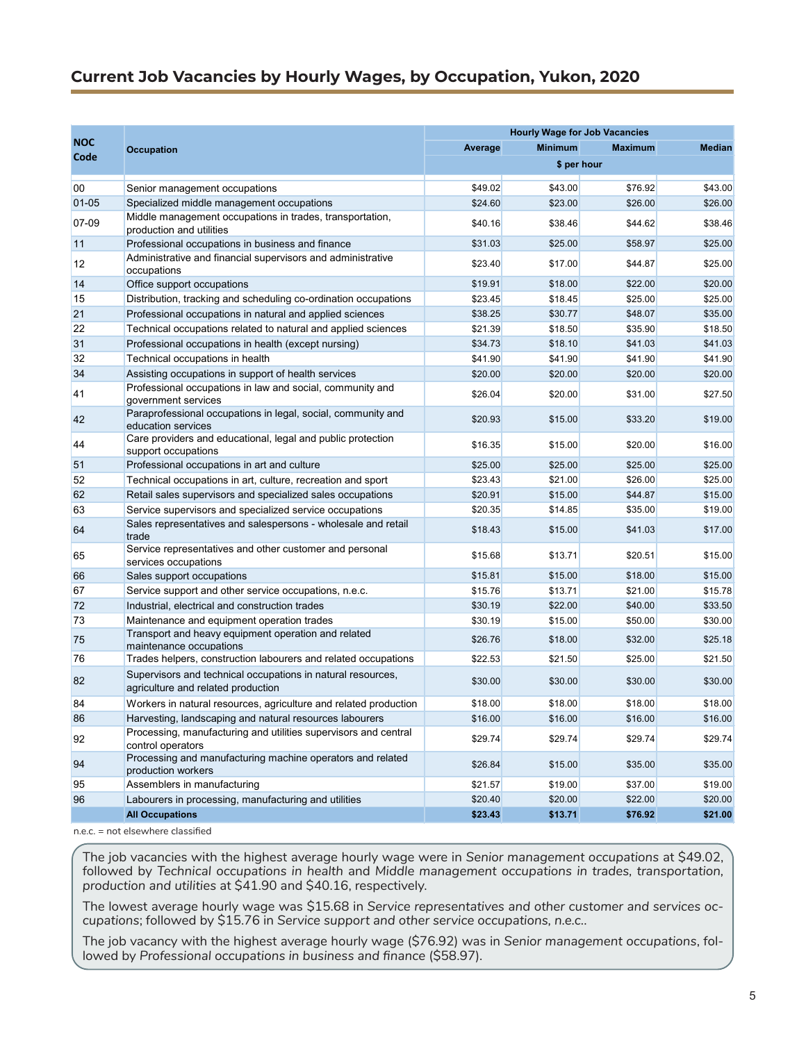### <span id="page-4-0"></span>**Current Job Vacancies by Hourly Wages, by Occupation, Yukon, 2020**

| <b>Minimum</b><br><b>Median</b><br>Average<br><b>Maximum</b><br><b>Occupation</b><br>Code<br>\$ per hour<br>\$49.02<br>\$43.00<br>\$76.92<br>00<br>\$43.00<br>Senior management occupations<br>$01 - 05$<br>Specialized middle management occupations<br>\$24.60<br>\$26.00<br>\$23.00<br>\$26.00<br>Middle management occupations in trades, transportation,<br>07-09<br>\$40.16<br>\$38.46<br>\$38.46<br>\$44.62<br>production and utilities<br>11<br>Professional occupations in business and finance<br>\$25.00<br>\$31.03<br>\$25.00<br>\$58.97<br>Administrative and financial supervisors and administrative<br>12<br>\$23.40<br>\$17.00<br>\$44.87<br>\$25.00<br>occupations<br>14<br>\$19.91<br>\$18.00<br>\$20.00<br>Office support occupations<br>\$22.00<br>15<br>Distribution, tracking and scheduling co-ordination occupations<br>\$23.45<br>\$18.45<br>\$25.00<br>\$25.00<br>21<br>\$38.25<br>\$30.77<br>\$48.07<br>\$35.00<br>Professional occupations in natural and applied sciences<br>22<br>\$18.50<br>\$21.39<br>\$18.50<br>\$35.90<br>Technical occupations related to natural and applied sciences<br>31<br>\$34.73<br>\$41.03<br>\$41.03<br>Professional occupations in health (except nursing)<br>\$18.10<br>32<br>\$41.90<br>\$41.90<br>Technical occupations in health<br>\$41.90<br>\$41.90<br>34<br>Assisting occupations in support of health services<br>\$20.00<br>\$20.00<br>\$20.00<br>\$20.00<br>Professional occupations in law and social, community and<br>\$20.00<br>\$27.50<br>41<br>\$26.04<br>\$31.00<br>government services<br>Paraprofessional occupations in legal, social, community and<br>42<br>\$20.93<br>\$15.00<br>\$33.20<br>\$19.00<br>education services<br>Care providers and educational, legal and public protection<br>\$16.35<br>\$15.00<br>\$20.00<br>\$16.00<br>44<br>support occupations<br>\$25.00<br>\$25.00<br>\$25.00<br>51<br>Professional occupations in art and culture<br>\$25.00<br>52<br>Technical occupations in art, culture, recreation and sport<br>\$23.43<br>\$21.00<br>\$26.00<br>\$25.00<br>62<br>\$20.91<br>\$15.00<br>\$44.87<br>\$15.00<br>Retail sales supervisors and specialized sales occupations<br>63<br>Service supervisors and specialized service occupations<br>\$20.35<br>\$35.00<br>\$19.00<br>\$14.85<br>Sales representatives and salespersons - wholesale and retail<br>64<br>\$18.43<br>\$15.00<br>\$41.03<br>\$17.00<br>trade<br>Service representatives and other customer and personal<br>65<br>\$15.68<br>\$13.71<br>\$20.51<br>\$15.00<br>services occupations<br>66<br>Sales support occupations<br>\$15.81<br>\$15.00<br>\$18.00<br>\$15.00<br>67<br>\$15.76<br>\$13.71<br>\$21.00<br>\$15.78<br>Service support and other service occupations, n.e.c.<br>72<br>\$30.19<br>\$40.00<br>\$33.50<br>Industrial, electrical and construction trades<br>\$22.00<br>73<br>\$30.19<br>\$15.00<br>\$50.00<br>\$30.00<br>Maintenance and equipment operation trades<br>Transport and heavy equipment operation and related<br>75<br>\$26.76<br>\$32.00<br>\$25.18<br>\$18.00<br>maintenance occupations<br>76<br>\$21.50<br>Trades helpers, construction labourers and related occupations<br>\$22.53<br>\$21.50<br>\$25.00<br>Supervisors and technical occupations in natural resources,<br>82<br>\$30.00<br>\$30.00<br>\$30.00<br>\$30.00<br>agriculture and related production<br>84<br>\$18.00<br>\$18.00<br>\$18.00<br>\$18.00<br>Workers in natural resources, agriculture and related production<br>86<br>Harvesting, landscaping and natural resources labourers<br>\$16.00<br>\$16.00<br>\$16.00<br>\$16.00<br>Processing, manufacturing and utilities supervisors and central<br>\$29.74<br>\$29.74<br>92<br>\$29.74<br>\$29.74<br>control operators<br>Processing and manufacturing machine operators and related<br>94<br>\$26.84<br>\$15.00<br>\$35.00<br>\$35.00<br>production workers<br>95<br>Assemblers in manufacturing<br>\$21.57<br>\$19.00<br>\$19.00<br>\$37.00<br>96<br>Labourers in processing, manufacturing and utilities<br>\$20.40<br>\$20.00<br>\$22.00<br>\$20.00<br><b>All Occupations</b><br>\$23.43<br>\$13.71<br>\$76.92<br>\$21.00 |            | <b>Hourly Wage for Job Vacancies</b> |  |  |  |  |
|--------------------------------------------------------------------------------------------------------------------------------------------------------------------------------------------------------------------------------------------------------------------------------------------------------------------------------------------------------------------------------------------------------------------------------------------------------------------------------------------------------------------------------------------------------------------------------------------------------------------------------------------------------------------------------------------------------------------------------------------------------------------------------------------------------------------------------------------------------------------------------------------------------------------------------------------------------------------------------------------------------------------------------------------------------------------------------------------------------------------------------------------------------------------------------------------------------------------------------------------------------------------------------------------------------------------------------------------------------------------------------------------------------------------------------------------------------------------------------------------------------------------------------------------------------------------------------------------------------------------------------------------------------------------------------------------------------------------------------------------------------------------------------------------------------------------------------------------------------------------------------------------------------------------------------------------------------------------------------------------------------------------------------------------------------------------------------------------------------------------------------------------------------------------------------------------------------------------------------------------------------------------------------------------------------------------------------------------------------------------------------------------------------------------------------------------------------------------------------------------------------------------------------------------------------------------------------------------------------------------------------------------------------------------------------------------------------------------------------------------------------------------------------------------------------------------------------------------------------------------------------------------------------------------------------------------------------------------------------------------------------------------------------------------------------------------------------------------------------------------------------------------------------------------------------------------------------------------------------------------------------------------------------------------------------------------------------------------------------------------------------------------------------------------------------------------------------------------------------------------------------------------------------------------------------------------------------------------------------------------------------------------------------------------------------------------------------------------------------------------------------------------------------------------------------------------------------------------------------------------------------------------------------------------------------------------------------------------------------------------------------------------------------------------------------------------------------------------------------------------------------------------------------------------------|------------|--------------------------------------|--|--|--|--|
|                                                                                                                                                                                                                                                                                                                                                                                                                                                                                                                                                                                                                                                                                                                                                                                                                                                                                                                                                                                                                                                                                                                                                                                                                                                                                                                                                                                                                                                                                                                                                                                                                                                                                                                                                                                                                                                                                                                                                                                                                                                                                                                                                                                                                                                                                                                                                                                                                                                                                                                                                                                                                                                                                                                                                                                                                                                                                                                                                                                                                                                                                                                                                                                                                                                                                                                                                                                                                                                                                                                                                                                                                                                                                                                                                                                                                                                                                                                                                                                                                                                                                                                                                                          | <b>NOC</b> |                                      |  |  |  |  |
|                                                                                                                                                                                                                                                                                                                                                                                                                                                                                                                                                                                                                                                                                                                                                                                                                                                                                                                                                                                                                                                                                                                                                                                                                                                                                                                                                                                                                                                                                                                                                                                                                                                                                                                                                                                                                                                                                                                                                                                                                                                                                                                                                                                                                                                                                                                                                                                                                                                                                                                                                                                                                                                                                                                                                                                                                                                                                                                                                                                                                                                                                                                                                                                                                                                                                                                                                                                                                                                                                                                                                                                                                                                                                                                                                                                                                                                                                                                                                                                                                                                                                                                                                                          |            |                                      |  |  |  |  |
|                                                                                                                                                                                                                                                                                                                                                                                                                                                                                                                                                                                                                                                                                                                                                                                                                                                                                                                                                                                                                                                                                                                                                                                                                                                                                                                                                                                                                                                                                                                                                                                                                                                                                                                                                                                                                                                                                                                                                                                                                                                                                                                                                                                                                                                                                                                                                                                                                                                                                                                                                                                                                                                                                                                                                                                                                                                                                                                                                                                                                                                                                                                                                                                                                                                                                                                                                                                                                                                                                                                                                                                                                                                                                                                                                                                                                                                                                                                                                                                                                                                                                                                                                                          |            |                                      |  |  |  |  |
|                                                                                                                                                                                                                                                                                                                                                                                                                                                                                                                                                                                                                                                                                                                                                                                                                                                                                                                                                                                                                                                                                                                                                                                                                                                                                                                                                                                                                                                                                                                                                                                                                                                                                                                                                                                                                                                                                                                                                                                                                                                                                                                                                                                                                                                                                                                                                                                                                                                                                                                                                                                                                                                                                                                                                                                                                                                                                                                                                                                                                                                                                                                                                                                                                                                                                                                                                                                                                                                                                                                                                                                                                                                                                                                                                                                                                                                                                                                                                                                                                                                                                                                                                                          |            |                                      |  |  |  |  |
|                                                                                                                                                                                                                                                                                                                                                                                                                                                                                                                                                                                                                                                                                                                                                                                                                                                                                                                                                                                                                                                                                                                                                                                                                                                                                                                                                                                                                                                                                                                                                                                                                                                                                                                                                                                                                                                                                                                                                                                                                                                                                                                                                                                                                                                                                                                                                                                                                                                                                                                                                                                                                                                                                                                                                                                                                                                                                                                                                                                                                                                                                                                                                                                                                                                                                                                                                                                                                                                                                                                                                                                                                                                                                                                                                                                                                                                                                                                                                                                                                                                                                                                                                                          |            |                                      |  |  |  |  |
|                                                                                                                                                                                                                                                                                                                                                                                                                                                                                                                                                                                                                                                                                                                                                                                                                                                                                                                                                                                                                                                                                                                                                                                                                                                                                                                                                                                                                                                                                                                                                                                                                                                                                                                                                                                                                                                                                                                                                                                                                                                                                                                                                                                                                                                                                                                                                                                                                                                                                                                                                                                                                                                                                                                                                                                                                                                                                                                                                                                                                                                                                                                                                                                                                                                                                                                                                                                                                                                                                                                                                                                                                                                                                                                                                                                                                                                                                                                                                                                                                                                                                                                                                                          |            |                                      |  |  |  |  |
|                                                                                                                                                                                                                                                                                                                                                                                                                                                                                                                                                                                                                                                                                                                                                                                                                                                                                                                                                                                                                                                                                                                                                                                                                                                                                                                                                                                                                                                                                                                                                                                                                                                                                                                                                                                                                                                                                                                                                                                                                                                                                                                                                                                                                                                                                                                                                                                                                                                                                                                                                                                                                                                                                                                                                                                                                                                                                                                                                                                                                                                                                                                                                                                                                                                                                                                                                                                                                                                                                                                                                                                                                                                                                                                                                                                                                                                                                                                                                                                                                                                                                                                                                                          |            |                                      |  |  |  |  |
|                                                                                                                                                                                                                                                                                                                                                                                                                                                                                                                                                                                                                                                                                                                                                                                                                                                                                                                                                                                                                                                                                                                                                                                                                                                                                                                                                                                                                                                                                                                                                                                                                                                                                                                                                                                                                                                                                                                                                                                                                                                                                                                                                                                                                                                                                                                                                                                                                                                                                                                                                                                                                                                                                                                                                                                                                                                                                                                                                                                                                                                                                                                                                                                                                                                                                                                                                                                                                                                                                                                                                                                                                                                                                                                                                                                                                                                                                                                                                                                                                                                                                                                                                                          |            |                                      |  |  |  |  |
|                                                                                                                                                                                                                                                                                                                                                                                                                                                                                                                                                                                                                                                                                                                                                                                                                                                                                                                                                                                                                                                                                                                                                                                                                                                                                                                                                                                                                                                                                                                                                                                                                                                                                                                                                                                                                                                                                                                                                                                                                                                                                                                                                                                                                                                                                                                                                                                                                                                                                                                                                                                                                                                                                                                                                                                                                                                                                                                                                                                                                                                                                                                                                                                                                                                                                                                                                                                                                                                                                                                                                                                                                                                                                                                                                                                                                                                                                                                                                                                                                                                                                                                                                                          |            |                                      |  |  |  |  |
|                                                                                                                                                                                                                                                                                                                                                                                                                                                                                                                                                                                                                                                                                                                                                                                                                                                                                                                                                                                                                                                                                                                                                                                                                                                                                                                                                                                                                                                                                                                                                                                                                                                                                                                                                                                                                                                                                                                                                                                                                                                                                                                                                                                                                                                                                                                                                                                                                                                                                                                                                                                                                                                                                                                                                                                                                                                                                                                                                                                                                                                                                                                                                                                                                                                                                                                                                                                                                                                                                                                                                                                                                                                                                                                                                                                                                                                                                                                                                                                                                                                                                                                                                                          |            |                                      |  |  |  |  |
|                                                                                                                                                                                                                                                                                                                                                                                                                                                                                                                                                                                                                                                                                                                                                                                                                                                                                                                                                                                                                                                                                                                                                                                                                                                                                                                                                                                                                                                                                                                                                                                                                                                                                                                                                                                                                                                                                                                                                                                                                                                                                                                                                                                                                                                                                                                                                                                                                                                                                                                                                                                                                                                                                                                                                                                                                                                                                                                                                                                                                                                                                                                                                                                                                                                                                                                                                                                                                                                                                                                                                                                                                                                                                                                                                                                                                                                                                                                                                                                                                                                                                                                                                                          |            |                                      |  |  |  |  |
|                                                                                                                                                                                                                                                                                                                                                                                                                                                                                                                                                                                                                                                                                                                                                                                                                                                                                                                                                                                                                                                                                                                                                                                                                                                                                                                                                                                                                                                                                                                                                                                                                                                                                                                                                                                                                                                                                                                                                                                                                                                                                                                                                                                                                                                                                                                                                                                                                                                                                                                                                                                                                                                                                                                                                                                                                                                                                                                                                                                                                                                                                                                                                                                                                                                                                                                                                                                                                                                                                                                                                                                                                                                                                                                                                                                                                                                                                                                                                                                                                                                                                                                                                                          |            |                                      |  |  |  |  |
|                                                                                                                                                                                                                                                                                                                                                                                                                                                                                                                                                                                                                                                                                                                                                                                                                                                                                                                                                                                                                                                                                                                                                                                                                                                                                                                                                                                                                                                                                                                                                                                                                                                                                                                                                                                                                                                                                                                                                                                                                                                                                                                                                                                                                                                                                                                                                                                                                                                                                                                                                                                                                                                                                                                                                                                                                                                                                                                                                                                                                                                                                                                                                                                                                                                                                                                                                                                                                                                                                                                                                                                                                                                                                                                                                                                                                                                                                                                                                                                                                                                                                                                                                                          |            |                                      |  |  |  |  |
|                                                                                                                                                                                                                                                                                                                                                                                                                                                                                                                                                                                                                                                                                                                                                                                                                                                                                                                                                                                                                                                                                                                                                                                                                                                                                                                                                                                                                                                                                                                                                                                                                                                                                                                                                                                                                                                                                                                                                                                                                                                                                                                                                                                                                                                                                                                                                                                                                                                                                                                                                                                                                                                                                                                                                                                                                                                                                                                                                                                                                                                                                                                                                                                                                                                                                                                                                                                                                                                                                                                                                                                                                                                                                                                                                                                                                                                                                                                                                                                                                                                                                                                                                                          |            |                                      |  |  |  |  |
|                                                                                                                                                                                                                                                                                                                                                                                                                                                                                                                                                                                                                                                                                                                                                                                                                                                                                                                                                                                                                                                                                                                                                                                                                                                                                                                                                                                                                                                                                                                                                                                                                                                                                                                                                                                                                                                                                                                                                                                                                                                                                                                                                                                                                                                                                                                                                                                                                                                                                                                                                                                                                                                                                                                                                                                                                                                                                                                                                                                                                                                                                                                                                                                                                                                                                                                                                                                                                                                                                                                                                                                                                                                                                                                                                                                                                                                                                                                                                                                                                                                                                                                                                                          |            |                                      |  |  |  |  |
|                                                                                                                                                                                                                                                                                                                                                                                                                                                                                                                                                                                                                                                                                                                                                                                                                                                                                                                                                                                                                                                                                                                                                                                                                                                                                                                                                                                                                                                                                                                                                                                                                                                                                                                                                                                                                                                                                                                                                                                                                                                                                                                                                                                                                                                                                                                                                                                                                                                                                                                                                                                                                                                                                                                                                                                                                                                                                                                                                                                                                                                                                                                                                                                                                                                                                                                                                                                                                                                                                                                                                                                                                                                                                                                                                                                                                                                                                                                                                                                                                                                                                                                                                                          |            |                                      |  |  |  |  |
|                                                                                                                                                                                                                                                                                                                                                                                                                                                                                                                                                                                                                                                                                                                                                                                                                                                                                                                                                                                                                                                                                                                                                                                                                                                                                                                                                                                                                                                                                                                                                                                                                                                                                                                                                                                                                                                                                                                                                                                                                                                                                                                                                                                                                                                                                                                                                                                                                                                                                                                                                                                                                                                                                                                                                                                                                                                                                                                                                                                                                                                                                                                                                                                                                                                                                                                                                                                                                                                                                                                                                                                                                                                                                                                                                                                                                                                                                                                                                                                                                                                                                                                                                                          |            |                                      |  |  |  |  |
|                                                                                                                                                                                                                                                                                                                                                                                                                                                                                                                                                                                                                                                                                                                                                                                                                                                                                                                                                                                                                                                                                                                                                                                                                                                                                                                                                                                                                                                                                                                                                                                                                                                                                                                                                                                                                                                                                                                                                                                                                                                                                                                                                                                                                                                                                                                                                                                                                                                                                                                                                                                                                                                                                                                                                                                                                                                                                                                                                                                                                                                                                                                                                                                                                                                                                                                                                                                                                                                                                                                                                                                                                                                                                                                                                                                                                                                                                                                                                                                                                                                                                                                                                                          |            |                                      |  |  |  |  |
|                                                                                                                                                                                                                                                                                                                                                                                                                                                                                                                                                                                                                                                                                                                                                                                                                                                                                                                                                                                                                                                                                                                                                                                                                                                                                                                                                                                                                                                                                                                                                                                                                                                                                                                                                                                                                                                                                                                                                                                                                                                                                                                                                                                                                                                                                                                                                                                                                                                                                                                                                                                                                                                                                                                                                                                                                                                                                                                                                                                                                                                                                                                                                                                                                                                                                                                                                                                                                                                                                                                                                                                                                                                                                                                                                                                                                                                                                                                                                                                                                                                                                                                                                                          |            |                                      |  |  |  |  |
|                                                                                                                                                                                                                                                                                                                                                                                                                                                                                                                                                                                                                                                                                                                                                                                                                                                                                                                                                                                                                                                                                                                                                                                                                                                                                                                                                                                                                                                                                                                                                                                                                                                                                                                                                                                                                                                                                                                                                                                                                                                                                                                                                                                                                                                                                                                                                                                                                                                                                                                                                                                                                                                                                                                                                                                                                                                                                                                                                                                                                                                                                                                                                                                                                                                                                                                                                                                                                                                                                                                                                                                                                                                                                                                                                                                                                                                                                                                                                                                                                                                                                                                                                                          |            |                                      |  |  |  |  |
|                                                                                                                                                                                                                                                                                                                                                                                                                                                                                                                                                                                                                                                                                                                                                                                                                                                                                                                                                                                                                                                                                                                                                                                                                                                                                                                                                                                                                                                                                                                                                                                                                                                                                                                                                                                                                                                                                                                                                                                                                                                                                                                                                                                                                                                                                                                                                                                                                                                                                                                                                                                                                                                                                                                                                                                                                                                                                                                                                                                                                                                                                                                                                                                                                                                                                                                                                                                                                                                                                                                                                                                                                                                                                                                                                                                                                                                                                                                                                                                                                                                                                                                                                                          |            |                                      |  |  |  |  |
|                                                                                                                                                                                                                                                                                                                                                                                                                                                                                                                                                                                                                                                                                                                                                                                                                                                                                                                                                                                                                                                                                                                                                                                                                                                                                                                                                                                                                                                                                                                                                                                                                                                                                                                                                                                                                                                                                                                                                                                                                                                                                                                                                                                                                                                                                                                                                                                                                                                                                                                                                                                                                                                                                                                                                                                                                                                                                                                                                                                                                                                                                                                                                                                                                                                                                                                                                                                                                                                                                                                                                                                                                                                                                                                                                                                                                                                                                                                                                                                                                                                                                                                                                                          |            |                                      |  |  |  |  |
|                                                                                                                                                                                                                                                                                                                                                                                                                                                                                                                                                                                                                                                                                                                                                                                                                                                                                                                                                                                                                                                                                                                                                                                                                                                                                                                                                                                                                                                                                                                                                                                                                                                                                                                                                                                                                                                                                                                                                                                                                                                                                                                                                                                                                                                                                                                                                                                                                                                                                                                                                                                                                                                                                                                                                                                                                                                                                                                                                                                                                                                                                                                                                                                                                                                                                                                                                                                                                                                                                                                                                                                                                                                                                                                                                                                                                                                                                                                                                                                                                                                                                                                                                                          |            |                                      |  |  |  |  |
|                                                                                                                                                                                                                                                                                                                                                                                                                                                                                                                                                                                                                                                                                                                                                                                                                                                                                                                                                                                                                                                                                                                                                                                                                                                                                                                                                                                                                                                                                                                                                                                                                                                                                                                                                                                                                                                                                                                                                                                                                                                                                                                                                                                                                                                                                                                                                                                                                                                                                                                                                                                                                                                                                                                                                                                                                                                                                                                                                                                                                                                                                                                                                                                                                                                                                                                                                                                                                                                                                                                                                                                                                                                                                                                                                                                                                                                                                                                                                                                                                                                                                                                                                                          |            |                                      |  |  |  |  |
|                                                                                                                                                                                                                                                                                                                                                                                                                                                                                                                                                                                                                                                                                                                                                                                                                                                                                                                                                                                                                                                                                                                                                                                                                                                                                                                                                                                                                                                                                                                                                                                                                                                                                                                                                                                                                                                                                                                                                                                                                                                                                                                                                                                                                                                                                                                                                                                                                                                                                                                                                                                                                                                                                                                                                                                                                                                                                                                                                                                                                                                                                                                                                                                                                                                                                                                                                                                                                                                                                                                                                                                                                                                                                                                                                                                                                                                                                                                                                                                                                                                                                                                                                                          |            |                                      |  |  |  |  |
|                                                                                                                                                                                                                                                                                                                                                                                                                                                                                                                                                                                                                                                                                                                                                                                                                                                                                                                                                                                                                                                                                                                                                                                                                                                                                                                                                                                                                                                                                                                                                                                                                                                                                                                                                                                                                                                                                                                                                                                                                                                                                                                                                                                                                                                                                                                                                                                                                                                                                                                                                                                                                                                                                                                                                                                                                                                                                                                                                                                                                                                                                                                                                                                                                                                                                                                                                                                                                                                                                                                                                                                                                                                                                                                                                                                                                                                                                                                                                                                                                                                                                                                                                                          |            |                                      |  |  |  |  |
|                                                                                                                                                                                                                                                                                                                                                                                                                                                                                                                                                                                                                                                                                                                                                                                                                                                                                                                                                                                                                                                                                                                                                                                                                                                                                                                                                                                                                                                                                                                                                                                                                                                                                                                                                                                                                                                                                                                                                                                                                                                                                                                                                                                                                                                                                                                                                                                                                                                                                                                                                                                                                                                                                                                                                                                                                                                                                                                                                                                                                                                                                                                                                                                                                                                                                                                                                                                                                                                                                                                                                                                                                                                                                                                                                                                                                                                                                                                                                                                                                                                                                                                                                                          |            |                                      |  |  |  |  |
|                                                                                                                                                                                                                                                                                                                                                                                                                                                                                                                                                                                                                                                                                                                                                                                                                                                                                                                                                                                                                                                                                                                                                                                                                                                                                                                                                                                                                                                                                                                                                                                                                                                                                                                                                                                                                                                                                                                                                                                                                                                                                                                                                                                                                                                                                                                                                                                                                                                                                                                                                                                                                                                                                                                                                                                                                                                                                                                                                                                                                                                                                                                                                                                                                                                                                                                                                                                                                                                                                                                                                                                                                                                                                                                                                                                                                                                                                                                                                                                                                                                                                                                                                                          |            |                                      |  |  |  |  |
|                                                                                                                                                                                                                                                                                                                                                                                                                                                                                                                                                                                                                                                                                                                                                                                                                                                                                                                                                                                                                                                                                                                                                                                                                                                                                                                                                                                                                                                                                                                                                                                                                                                                                                                                                                                                                                                                                                                                                                                                                                                                                                                                                                                                                                                                                                                                                                                                                                                                                                                                                                                                                                                                                                                                                                                                                                                                                                                                                                                                                                                                                                                                                                                                                                                                                                                                                                                                                                                                                                                                                                                                                                                                                                                                                                                                                                                                                                                                                                                                                                                                                                                                                                          |            |                                      |  |  |  |  |
|                                                                                                                                                                                                                                                                                                                                                                                                                                                                                                                                                                                                                                                                                                                                                                                                                                                                                                                                                                                                                                                                                                                                                                                                                                                                                                                                                                                                                                                                                                                                                                                                                                                                                                                                                                                                                                                                                                                                                                                                                                                                                                                                                                                                                                                                                                                                                                                                                                                                                                                                                                                                                                                                                                                                                                                                                                                                                                                                                                                                                                                                                                                                                                                                                                                                                                                                                                                                                                                                                                                                                                                                                                                                                                                                                                                                                                                                                                                                                                                                                                                                                                                                                                          |            |                                      |  |  |  |  |
|                                                                                                                                                                                                                                                                                                                                                                                                                                                                                                                                                                                                                                                                                                                                                                                                                                                                                                                                                                                                                                                                                                                                                                                                                                                                                                                                                                                                                                                                                                                                                                                                                                                                                                                                                                                                                                                                                                                                                                                                                                                                                                                                                                                                                                                                                                                                                                                                                                                                                                                                                                                                                                                                                                                                                                                                                                                                                                                                                                                                                                                                                                                                                                                                                                                                                                                                                                                                                                                                                                                                                                                                                                                                                                                                                                                                                                                                                                                                                                                                                                                                                                                                                                          |            |                                      |  |  |  |  |
|                                                                                                                                                                                                                                                                                                                                                                                                                                                                                                                                                                                                                                                                                                                                                                                                                                                                                                                                                                                                                                                                                                                                                                                                                                                                                                                                                                                                                                                                                                                                                                                                                                                                                                                                                                                                                                                                                                                                                                                                                                                                                                                                                                                                                                                                                                                                                                                                                                                                                                                                                                                                                                                                                                                                                                                                                                                                                                                                                                                                                                                                                                                                                                                                                                                                                                                                                                                                                                                                                                                                                                                                                                                                                                                                                                                                                                                                                                                                                                                                                                                                                                                                                                          |            |                                      |  |  |  |  |
|                                                                                                                                                                                                                                                                                                                                                                                                                                                                                                                                                                                                                                                                                                                                                                                                                                                                                                                                                                                                                                                                                                                                                                                                                                                                                                                                                                                                                                                                                                                                                                                                                                                                                                                                                                                                                                                                                                                                                                                                                                                                                                                                                                                                                                                                                                                                                                                                                                                                                                                                                                                                                                                                                                                                                                                                                                                                                                                                                                                                                                                                                                                                                                                                                                                                                                                                                                                                                                                                                                                                                                                                                                                                                                                                                                                                                                                                                                                                                                                                                                                                                                                                                                          |            |                                      |  |  |  |  |
|                                                                                                                                                                                                                                                                                                                                                                                                                                                                                                                                                                                                                                                                                                                                                                                                                                                                                                                                                                                                                                                                                                                                                                                                                                                                                                                                                                                                                                                                                                                                                                                                                                                                                                                                                                                                                                                                                                                                                                                                                                                                                                                                                                                                                                                                                                                                                                                                                                                                                                                                                                                                                                                                                                                                                                                                                                                                                                                                                                                                                                                                                                                                                                                                                                                                                                                                                                                                                                                                                                                                                                                                                                                                                                                                                                                                                                                                                                                                                                                                                                                                                                                                                                          |            |                                      |  |  |  |  |
|                                                                                                                                                                                                                                                                                                                                                                                                                                                                                                                                                                                                                                                                                                                                                                                                                                                                                                                                                                                                                                                                                                                                                                                                                                                                                                                                                                                                                                                                                                                                                                                                                                                                                                                                                                                                                                                                                                                                                                                                                                                                                                                                                                                                                                                                                                                                                                                                                                                                                                                                                                                                                                                                                                                                                                                                                                                                                                                                                                                                                                                                                                                                                                                                                                                                                                                                                                                                                                                                                                                                                                                                                                                                                                                                                                                                                                                                                                                                                                                                                                                                                                                                                                          |            |                                      |  |  |  |  |
|                                                                                                                                                                                                                                                                                                                                                                                                                                                                                                                                                                                                                                                                                                                                                                                                                                                                                                                                                                                                                                                                                                                                                                                                                                                                                                                                                                                                                                                                                                                                                                                                                                                                                                                                                                                                                                                                                                                                                                                                                                                                                                                                                                                                                                                                                                                                                                                                                                                                                                                                                                                                                                                                                                                                                                                                                                                                                                                                                                                                                                                                                                                                                                                                                                                                                                                                                                                                                                                                                                                                                                                                                                                                                                                                                                                                                                                                                                                                                                                                                                                                                                                                                                          |            |                                      |  |  |  |  |
|                                                                                                                                                                                                                                                                                                                                                                                                                                                                                                                                                                                                                                                                                                                                                                                                                                                                                                                                                                                                                                                                                                                                                                                                                                                                                                                                                                                                                                                                                                                                                                                                                                                                                                                                                                                                                                                                                                                                                                                                                                                                                                                                                                                                                                                                                                                                                                                                                                                                                                                                                                                                                                                                                                                                                                                                                                                                                                                                                                                                                                                                                                                                                                                                                                                                                                                                                                                                                                                                                                                                                                                                                                                                                                                                                                                                                                                                                                                                                                                                                                                                                                                                                                          |            |                                      |  |  |  |  |

n.e.c. = not elsewhere classified

The job vacancies with the highest average hourly wage were in *Senior management occupations* at \$49.02, followed by *Technical occupations in health* and *Middle management occupations in trades, transportation, production and utilities* at \$41.90 and \$40.16, respectively.

The lowest average hourly wage was \$15.68 in *Service representatives and other customer and services occupations*; followed by \$15.76 in *Service support and other service occupations, n.e.c.*.

The job vacancy with the highest average hourly wage (\$76.92) was in *Senior management occupations*, followed by *Professional occupations in business and finance* (\$58.97)*.*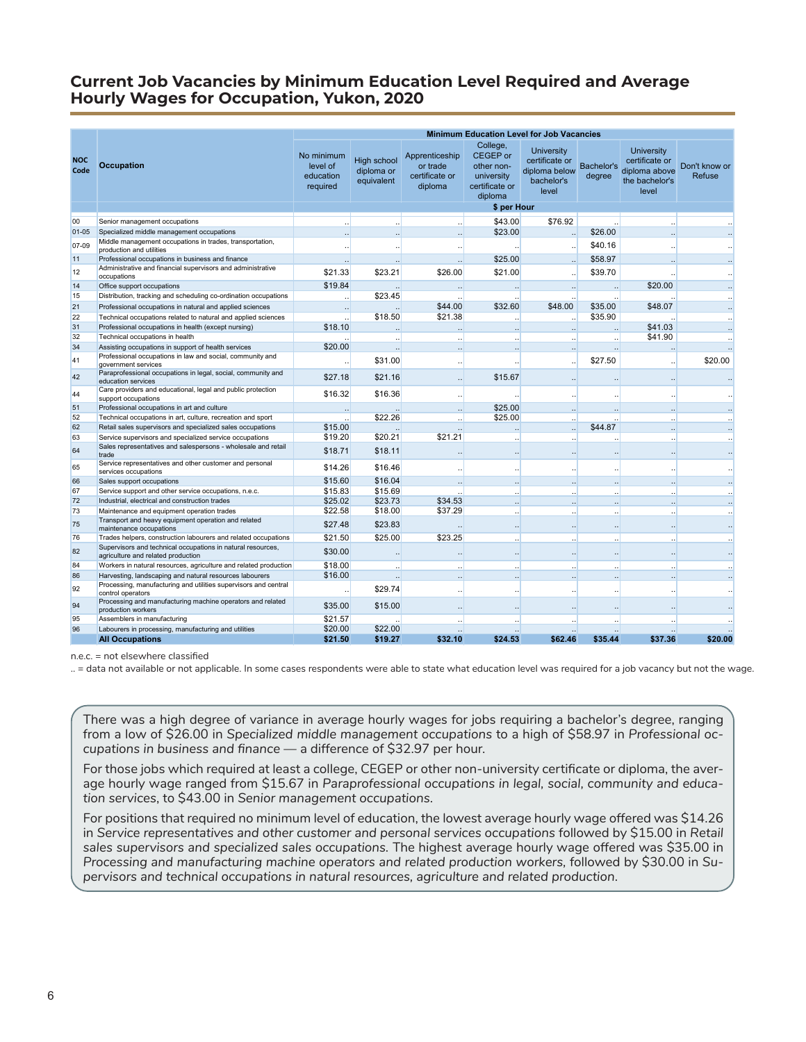### <span id="page-5-0"></span>**Current Job Vacancies by Minimum Education Level Required and Average Hourly Wages for Occupation, Yukon, 2020**

|                    |                                                                                                   | <b>Minimum Education Level for Job Vacancies</b> |                                                |                                                         |                                                                                      |                                                                             |                      |                                                                                 |                         |
|--------------------|---------------------------------------------------------------------------------------------------|--------------------------------------------------|------------------------------------------------|---------------------------------------------------------|--------------------------------------------------------------------------------------|-----------------------------------------------------------------------------|----------------------|---------------------------------------------------------------------------------|-------------------------|
| <b>NOC</b><br>Code | <b>Occupation</b>                                                                                 | No minimum<br>level of<br>education<br>required  | <b>High school</b><br>diploma or<br>equivalent | Apprenticeship<br>or trade<br>certificate or<br>diploma | College,<br><b>CEGEP</b> or<br>other non-<br>university<br>certificate or<br>diploma | <b>University</b><br>certificate or<br>diploma below<br>bachelor's<br>level | Bachelor's<br>degree | <b>University</b><br>certificate or<br>diploma above<br>the bachelor's<br>level | Don't know or<br>Refuse |
|                    |                                                                                                   |                                                  |                                                |                                                         | \$ per Hour                                                                          |                                                                             |                      |                                                                                 |                         |
| 00                 | Senior management occupations                                                                     |                                                  |                                                |                                                         | \$43.00                                                                              | \$76.92                                                                     |                      |                                                                                 |                         |
| $01 - 05$          | Specialized middle management occupations                                                         |                                                  |                                                |                                                         | \$23.00                                                                              |                                                                             | \$26.00              |                                                                                 |                         |
| 07-09              | Middle management occupations in trades, transportation,<br>production and utilities              |                                                  |                                                |                                                         |                                                                                      | $\ddotsc$                                                                   | \$40.16              |                                                                                 |                         |
| 11                 | Professional occupations in business and finance                                                  |                                                  |                                                |                                                         | \$25.00                                                                              |                                                                             | \$58.97              |                                                                                 |                         |
| 12                 | Administrative and financial supervisors and administrative<br>occupations                        | \$21.33                                          | \$23.21                                        | \$26.00                                                 | \$21.00                                                                              | $\ddot{\phantom{0}}$                                                        | \$39.70              |                                                                                 |                         |
| 14                 | Office support occupations                                                                        | \$19.84                                          |                                                |                                                         |                                                                                      | $\ddotsc$                                                                   |                      | \$20.00                                                                         | ш.                      |
| 15                 | Distribution, tracking and scheduling co-ordination occupations                                   |                                                  | \$23.45                                        |                                                         |                                                                                      |                                                                             |                      |                                                                                 |                         |
| 21                 | Professional occupations in natural and applied sciences                                          | $\ddot{\phantom{a}}$                             |                                                | \$44.00                                                 | \$32.60                                                                              | \$48.00                                                                     | \$35.00              | \$48.07                                                                         | $\ddotsc$               |
| 22                 | Technical occupations related to natural and applied sciences                                     |                                                  | \$18.50                                        | \$21.38                                                 | $\ddot{\phantom{a}}$                                                                 |                                                                             | \$35.90              |                                                                                 | ш.                      |
| 31                 | Professional occupations in health (except nursing)                                               | \$18.10                                          |                                                |                                                         |                                                                                      |                                                                             |                      | \$41.03                                                                         |                         |
| 32                 | Technical occupations in health                                                                   |                                                  |                                                |                                                         |                                                                                      |                                                                             |                      | \$41.90                                                                         |                         |
| 34                 | Assisting occupations in support of health services                                               | \$20.00                                          |                                                |                                                         | $\ddot{\phantom{a}}$                                                                 | $\ddotsc$                                                                   |                      |                                                                                 |                         |
| 41                 | Professional occupations in law and social, community and<br>government services                  |                                                  | \$31.00                                        |                                                         |                                                                                      | $\ddot{\phantom{0}}$                                                        | \$27.50              |                                                                                 | \$20.00                 |
| 42                 | Paraprofessional occupations in legal, social, community and<br>education services                | \$27.18                                          | \$21.16                                        |                                                         | \$15.67                                                                              |                                                                             |                      |                                                                                 |                         |
| 44                 | Care providers and educational, legal and public protection<br>support occupations                | \$16.32                                          | \$16.36                                        |                                                         | $\ddot{\phantom{0}}$                                                                 | $\ddotsc$                                                                   | $\cdot$              | $\ddotsc$                                                                       | $\ddot{\phantom{a}}$    |
| 51                 | Professional occupations in art and culture                                                       |                                                  |                                                |                                                         | \$25.00                                                                              |                                                                             |                      |                                                                                 |                         |
| 52                 | Technical occupations in art, culture, recreation and sport                                       |                                                  | \$22.26                                        |                                                         | \$25.00                                                                              |                                                                             |                      |                                                                                 |                         |
| 62                 | Retail sales supervisors and specialized sales occupations                                        | \$15.00                                          |                                                |                                                         |                                                                                      |                                                                             | \$44.87              |                                                                                 |                         |
| 63                 | Service supervisors and specialized service occupations                                           | \$19.20                                          | \$20.21                                        | \$21.21                                                 |                                                                                      |                                                                             |                      |                                                                                 |                         |
| 64                 | Sales representatives and salespersons - wholesale and retail<br>trade                            | \$18.71                                          | \$18.11                                        |                                                         |                                                                                      |                                                                             |                      |                                                                                 |                         |
| 65                 | Service representatives and other customer and personal<br>services occupations                   | \$14.26                                          | \$16.46                                        |                                                         | .,                                                                                   |                                                                             | $\cdot$              |                                                                                 | $\ddotsc$               |
| 66                 | Sales support occupations                                                                         | \$15.60                                          | \$16.04                                        |                                                         |                                                                                      |                                                                             |                      |                                                                                 |                         |
| 67                 | Service support and other service occupations, n.e.c.                                             | \$15.83                                          | \$15.69                                        |                                                         |                                                                                      |                                                                             |                      |                                                                                 |                         |
| 72                 | Industrial, electrical and construction trades                                                    | \$25.02                                          | \$23.73                                        | \$34.53                                                 | $\ddot{\phantom{a}}$                                                                 | $\ddotsc$                                                                   | $\ddotsc$            |                                                                                 |                         |
| 73                 | Maintenance and equipment operation trades                                                        | \$22.58                                          | \$18.00                                        | \$37.29                                                 |                                                                                      |                                                                             |                      |                                                                                 |                         |
| 75                 | Transport and heavy equipment operation and related<br>maintenance occupations                    | \$27.48                                          | \$23.83                                        |                                                         |                                                                                      |                                                                             | $\ddotsc$            |                                                                                 |                         |
| 76                 | Trades helpers, construction labourers and related occupations                                    | \$21.50                                          | \$25.00                                        | \$23.25                                                 |                                                                                      |                                                                             |                      |                                                                                 |                         |
| 82                 | Supervisors and technical occupations in natural resources,<br>agriculture and related production | \$30.00                                          | $\ddotsc$                                      | $\ddotsc$                                               | $\ddotsc$                                                                            | $\ddotsc$                                                                   |                      | $\ddotsc$                                                                       | $\ddotsc$               |
| 84                 | Workers in natural resources, agriculture and related production                                  | \$18.00                                          |                                                |                                                         | ÷.                                                                                   |                                                                             | $\ddot{\phantom{a}}$ |                                                                                 |                         |
| 86                 | Harvesting, landscaping and natural resources labourers                                           | \$16.00                                          |                                                |                                                         | $\ddot{\phantom{a}}$                                                                 |                                                                             | $\ddot{\phantom{a}}$ |                                                                                 | ш.                      |
| 92                 | Processing, manufacturing and utilities supervisors and central<br>control operators              |                                                  | \$29.74                                        |                                                         | $\ddotsc$                                                                            |                                                                             | $\cdot$              |                                                                                 | $\cdots$                |
| 94                 | Processing and manufacturing machine operators and related<br>production workers                  | \$35.00                                          | \$15.00                                        | $\ddotsc$                                               | $\ddotsc$                                                                            | $\ddotsc$                                                                   | $\ddotsc$            |                                                                                 | $\ddotsc$               |
| 95                 | Assemblers in manufacturing                                                                       | \$21.57                                          |                                                |                                                         |                                                                                      |                                                                             |                      |                                                                                 |                         |
| 96                 | Labourers in processing, manufacturing and utilities                                              | \$20.00                                          | \$22.00                                        |                                                         |                                                                                      |                                                                             |                      |                                                                                 |                         |
|                    | <b>All Occupations</b>                                                                            | \$21.50                                          | \$19.27                                        | \$32.10                                                 | \$24.53                                                                              | \$62.46                                                                     | \$35.44              | \$37.36                                                                         | \$20.00                 |

n.e.c. = not elsewhere classified

.. = data not available or not applicable. In some cases respondents were able to state what education level was required for a job vacancy but not the wage.

There was a high degree of variance in average hourly wages for jobs requiring a bachelor's degree, ranging from a low of \$26.00 in *Specialized middle management occupations* to a high of \$58.97 in *Professional occupations in business and finance* — a difference of \$32.97 per hour.

For those jobs which required at least a college, CEGEP or other non-university certificate or diploma, the average hourly wage ranged from \$15.67 in *Paraprofessional occupations in legal, social, community and education services*, to \$43.00 in *Senior management occupations*.

For positions that required no minimum level of education, the lowest average hourly wage offered was \$14.26 in *Service representatives and other customer and personal services occupations* followed by \$15.00 in *Retail sales supervisors and specialized sales occupations.* The highest average hourly wage offered was \$35.00 in *Processing and manufacturing machine operators and related production workers,* followed by \$30.00 in *Supervisors and technical occupations in natural resources, agriculture and related production*.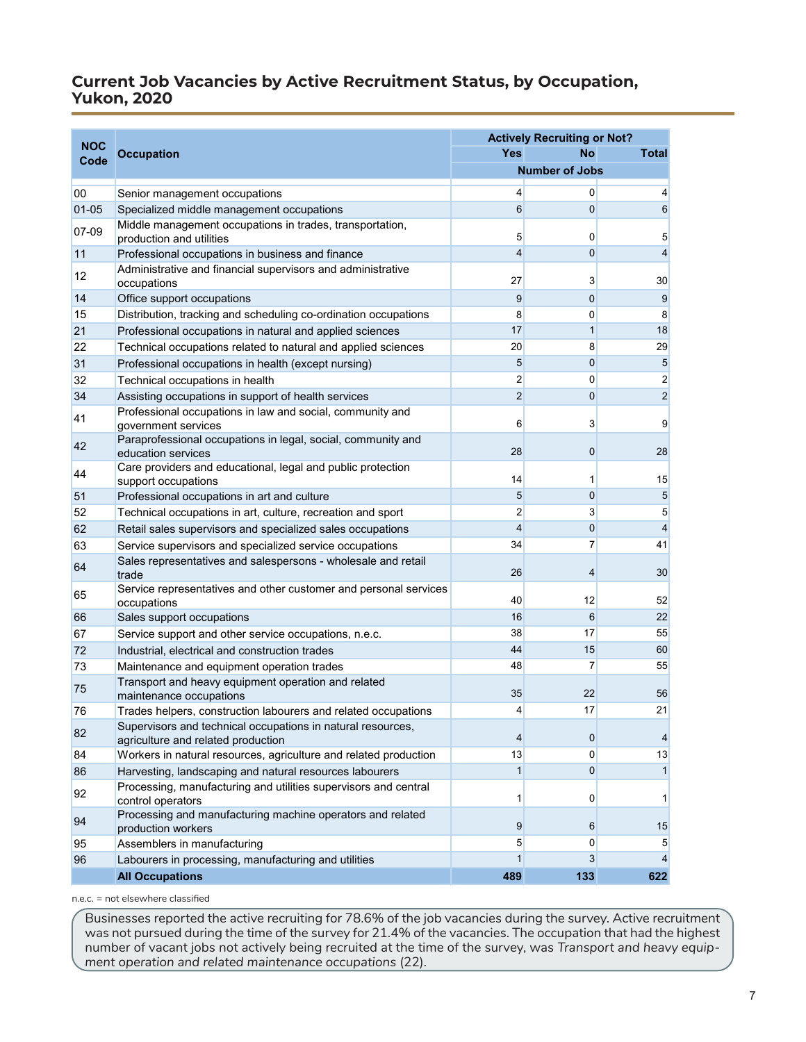## <span id="page-6-0"></span>**Current Job Vacancies by Active Recruitment Status, by Occupation, Yukon, 2020**

|                    |                                                                                                   |                | <b>Actively Recruiting or Not?</b> |                         |
|--------------------|---------------------------------------------------------------------------------------------------|----------------|------------------------------------|-------------------------|
| <b>NOC</b><br>Code | <b>Occupation</b>                                                                                 | Yes            | No                                 | Total                   |
|                    |                                                                                                   |                | <b>Number of Jobs</b>              |                         |
| 00                 | Senior management occupations                                                                     | 4              | 0                                  | $\vert 4 \vert$         |
| $01 - 05$          | Specialized middle management occupations                                                         | 6              | $\mathbf{0}$                       | 6                       |
| 07-09              | Middle management occupations in trades, transportation,<br>production and utilities              | 5              | 0                                  | 5                       |
| 11                 | Professional occupations in business and finance                                                  | 4              | $\mathbf 0$                        | $\overline{\mathbf{4}}$ |
| 12                 | Administrative and financial supervisors and administrative<br>occupations                        | 27             | 3                                  | 30 <sub>2</sub>         |
| 14                 | Office support occupations                                                                        | 9              | $\mathbf{0}$                       | 9                       |
| 15                 | Distribution, tracking and scheduling co-ordination occupations                                   | 8              | 0                                  | 8                       |
| 21                 | Professional occupations in natural and applied sciences                                          | 17             | 1                                  | 18                      |
| 22                 | Technical occupations related to natural and applied sciences                                     | 20             | 8                                  | 29                      |
| 31                 | Professional occupations in health (except nursing)                                               | 5              | $\mathbf 0$                        | 5                       |
| 32                 | Technical occupations in health                                                                   | $\overline{2}$ | $\mathbf{0}$                       | $\overline{2}$          |
| 34                 | Assisting occupations in support of health services                                               | $\overline{2}$ | $\mathbf 0$                        | $\overline{2}$          |
| 41                 | Professional occupations in law and social, community and<br>government services                  | 6              | 3                                  | $\overline{9}$          |
|                    | Paraprofessional occupations in legal, social, community and                                      |                |                                    |                         |
| 42                 | education services                                                                                | 28             | $\mathbf 0$                        | 28                      |
| 44                 | Care providers and educational, legal and public protection                                       |                |                                    |                         |
|                    | support occupations                                                                               | 14             | 1                                  | 15                      |
| 51                 | Professional occupations in art and culture                                                       | 5              | $\mathbf 0$                        | 5                       |
| 52                 | Technical occupations in art, culture, recreation and sport                                       | 2              | $\overline{3}$                     | $5\overline{)}$         |
| 62                 | Retail sales supervisors and specialized sales occupations                                        | $\overline{4}$ | $\mathbf 0$                        | $\overline{4}$          |
| 63                 | Service supervisors and specialized service occupations                                           | 34             | 7                                  | 41                      |
| 64                 | Sales representatives and salespersons - wholesale and retail<br>trade                            | 26             | 4                                  | 30                      |
| 65                 | Service representatives and other customer and personal services<br>occupations                   | 40             | 12                                 | 52                      |
| 66                 | Sales support occupations                                                                         | 16             | 6                                  | 22                      |
| 67                 | Service support and other service occupations, n.e.c.                                             | 38             | 17                                 | 55                      |
| 72                 | Industrial, electrical and construction trades                                                    | 44             | 15                                 | 60                      |
| 73                 | Maintenance and equipment operation trades                                                        | 48             | 7                                  | 55                      |
| 75                 | Transport and heavy equipment operation and related<br>maintenance occupations                    | 35             | 22                                 | 56                      |
| 76                 | Trades helpers, construction labourers and related occupations                                    | 4              | 17                                 | 21                      |
| 82                 | Supervisors and technical occupations in natural resources,<br>agriculture and related production | 4              | $\overline{0}$                     | 4                       |
| 84                 | Workers in natural resources, agriculture and related production                                  | 13             | $\overline{0}$                     | 13                      |
| 86                 | Harvesting, landscaping and natural resources labourers                                           | $\mathbf{1}$   | $\overline{0}$                     | 1                       |
| 92                 | Processing, manufacturing and utilities supervisors and central<br>control operators              | 1              | 0                                  | $\mathbf{1}$            |
| 94                 | Processing and manufacturing machine operators and related<br>production workers                  | 9              | 6                                  | 15                      |
| 95                 | Assemblers in manufacturing                                                                       | 5              | $\overline{0}$                     | 5                       |
| 96                 | Labourers in processing, manufacturing and utilities                                              | 1              | 3                                  | $\overline{4}$          |
|                    | <b>All Occupations</b>                                                                            | 489            | 133                                | 622                     |

n.e.c. = not elsewhere classified

Businesses reported the active recruiting for 78.6% of the job vacancies during the survey. Active recruitment was not pursued during the time of the survey for 21.4% of the vacancies. The occupation that had the highest number of vacant jobs not actively being recruited at the time of the survey, was *Transport and heavy equipment operation and related maintenance occupations* (22).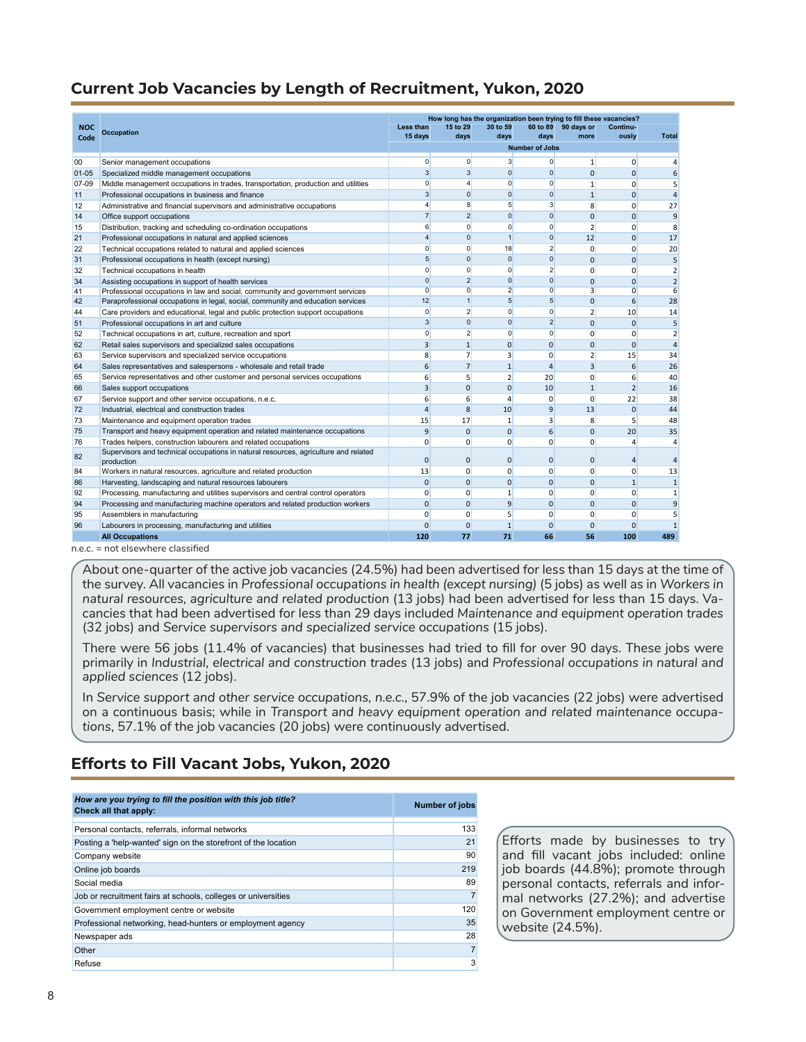## <span id="page-7-0"></span>**Current Job Vacancies by Length of Recruitment, Yukon, 2020**

|            |                                                                                     |                 |                |                         |                       | How long has the organization been trying to fill these vacancies? |                |                |
|------------|-------------------------------------------------------------------------------------|-----------------|----------------|-------------------------|-----------------------|--------------------------------------------------------------------|----------------|----------------|
| <b>NOC</b> | <b>Occupation</b>                                                                   | Less than       | 15 to 29       | 30 to 59                |                       | 60 to 89 90 days or                                                | Continu-       |                |
| Code       |                                                                                     | 15 days         | days           | days                    | days                  | more                                                               | ously          | <b>Total</b>   |
|            |                                                                                     |                 |                |                         | <b>Number of Jobs</b> |                                                                    |                |                |
| 00         | Senior management occupations                                                       | $\Omega$        | $\overline{0}$ | $\mathbf{3}$            | $\overline{0}$        | $\mathbf{1}$                                                       | 0              | 4              |
| $01 - 05$  | Specialized middle management occupations                                           | 3               | $\overline{3}$ | $\Omega$                | $\mathbf{0}$          | $\Omega$                                                           | $\Omega$       | 6              |
| 07-09      | Middle management occupations in trades, transportation, production and utilities   | $\mathbf{0}$    | $\overline{4}$ | $\mathbf{0}$            | $\mathbf{0}$          | $\mathbf{1}$                                                       | 0              | 5              |
| 11         | Professional occupations in business and finance                                    | 3               | $\overline{0}$ | $\overline{0}$          | $\mathbf{0}$          | $\mathbf{1}$                                                       | $\mathbf{0}$   | $\overline{4}$ |
| 12         | Administrative and financial supervisors and administrative occupations             | $\overline{4}$  | 8              | 5 <sup>5</sup>          | $\mathbf{3}$          | 8                                                                  | 0              | 27             |
| 14         | Office support occupations                                                          | $\overline{7}$  | $\overline{2}$ | $\overline{0}$          | $\mathbf{0}$          | $\mathbf 0$                                                        | $\mathbf 0$    | 9              |
| 15         | Distribution, tracking and scheduling co-ordination occupations                     | 6               | $\overline{0}$ | $\overline{0}$          | $\overline{0}$        | $\overline{2}$                                                     | $\mathbf 0$    | 8              |
| 21         | Professional occupations in natural and applied sciences                            | $\overline{4}$  | $\overline{0}$ | $\overline{1}$          | $\mathbf{0}$          | 12                                                                 | $\Omega$       | 17             |
| 22         | Technical occupations related to natural and applied sciences                       | $\Omega$        | $\mathbf{0}$   | 18                      | $\overline{2}$        | $\mathbf{0}$                                                       | $\Omega$       | 20             |
| 31         | Professional occupations in health (except nursing)                                 | $5\overline{5}$ | $\Omega$       | $\overline{0}$          | $\mathbf{0}$          | $\mathbf{0}$                                                       | $\mathbf{0}$   | 5              |
| 32         | Technical occupations in health                                                     | $\Omega$        | $\Omega$       | $\overline{0}$          | $\overline{2}$        | $\mathbf{0}$                                                       | 0              | $\overline{2}$ |
| 34         | Assisting occupations in support of health services                                 | $\mathbf{0}$    | $\overline{2}$ | $\overline{0}$          | $\mathbf{0}$          | $\Omega$                                                           | $\Omega$       | $\overline{2}$ |
| 41         | Professional occupations in law and social, community and government services       | $\overline{0}$  | $\overline{0}$ | $\overline{2}$          | $\overline{0}$        | $\overline{3}$                                                     | $\overline{0}$ | 6              |
| 42         | Paraprofessional occupations in legal, social, community and education services     | 12              | $\mathbf{1}$   | $5\overline{)}$         | 5                     | $\mathbf{0}$                                                       | 6              | 28             |
| 44         | Care providers and educational, legal and public protection support occupations     | $\Omega$        | $\overline{2}$ | $\overline{0}$          | $\Omega$              | $\overline{2}$                                                     | 10             | 14             |
| 51         | Professional occupations in art and culture                                         | 3               | $\overline{0}$ | $\overline{0}$          | $\overline{2}$        | $\Omega$                                                           | $\Omega$       | 5              |
| 52         | Technical occupations in art, culture, recreation and sport                         | $\mathbf{0}$    | $\overline{2}$ | $\overline{0}$          | $\mathbf{0}$          | $\mathbf{0}$                                                       | $\mathbf 0$    | $\overline{2}$ |
| 62         | Retail sales supervisors and specialized sales occupations                          | 3               | $\mathbf{1}$   | $\Omega$                | $\Omega$              | $\Omega$                                                           | $\mathbf 0$    | $\overline{4}$ |
| 63         | Service supervisors and specialized service occupations                             | 8               | $\overline{7}$ | $\overline{\mathbf{3}}$ | 0                     | $\overline{2}$                                                     | 15             | 34             |
| 64         | Sales representatives and salespersons - wholesale and retail trade                 | 6               | $\overline{7}$ | $\mathbf{1}$            | 4                     | $\overline{3}$                                                     | 6              | 26             |
| 65         | Service representatives and other customer and personal services occupations        | 6               | 5              | $\overline{2}$          | 20                    | $\mathbf 0$                                                        | 6              | 40             |
| 66         | Sales support occupations                                                           | 3               | $\Omega$       | $\mathbf{0}$            | 10                    | $\mathbf{1}$                                                       | $\overline{2}$ | 16             |
| 67         | Service support and other service occupations, n.e.c.                               | 6               | 6              | $\overline{4}$          | $\mathbf 0$           | $\mathbf{0}$                                                       | 22             | 38             |
| 72         | Industrial, electrical and construction trades                                      | $\overline{4}$  | 8              | 10                      | 9                     | 13                                                                 | $\mathbf 0$    | 44             |
| 73         | Maintenance and equipment operation trades                                          | 15              | 17             | $\mathbf{1}$            | 3                     | 8                                                                  | 5              | 48             |
| 75         | Transport and heavy equipment operation and related maintenance occupations         | 9               | $\Omega$       | $\Omega$                | 6                     | $\mathbf{0}$                                                       | 20             | 35             |
| 76         | Trades helpers, construction labourers and related occupations                      | $\Omega$        | $\Omega$       | $\Omega$                | $\Omega$              | $\Omega$                                                           | 4              | $\overline{4}$ |
| 82         | Supervisors and technical occupations in natural resources, agriculture and related | $\Omega$        |                |                         |                       |                                                                    |                |                |
|            | production                                                                          |                 | $\mathbf{0}$   | $\mathbf{0}$            | 0                     | $\mathbf{0}$                                                       | $\overline{4}$ | $\overline{4}$ |
| 84         | Workers in natural resources, agriculture and related production                    | 13              | $\mathbf{0}$   | $\mathbf{0}$            | $\mathbf 0$           | $\mathbf{0}$                                                       | $\mathbf{0}$   | 13             |
| 86         | Harvesting, landscaping and natural resources labourers                             | $\mathbf{0}$    | $\overline{0}$ | $\mathbf{0}$            | $\mathbf{0}$          | $\mathbf{0}$                                                       | $\mathbf{1}$   | $\mathbf{1}$   |
| 92         | Processing, manufacturing and utilities supervisors and central control operators   | $\Omega$        | $\Omega$       | $\mathbf{1}$            | 0                     | $\mathbf 0$                                                        | $\Omega$       | $\mathbf{1}$   |
| 94         | Processing and manufacturing machine operators and related production workers       | $\mathbf{0}$    | $\mathbf{0}$   | $\overline{9}$          | $\overline{0}$        | $\mathbf{0}$                                                       | $\mathbf{0}$   | 9              |
| 95         | Assemblers in manufacturing                                                         | $\Omega$        | $\mathbf{0}$   | 5                       | 0                     | $\mathbf{0}$                                                       | 0              | 5              |
| 96         | Labourers in processing, manufacturing and utilities                                | $\Omega$        | $\mathbf{0}$   | $\mathbf{1}$            | $\mathbf{0}$          | $\mathbf{0}$                                                       | $\mathbf{0}$   | $\mathbf{1}$   |
|            | <b>All Occupations</b>                                                              | 120             | 77             | 71                      | 66                    | 56                                                                 | 100            | 489            |

About one-quarter of the active job vacancies (24.5%) had been advertised for less than 15 days at the time of the survey. All vacancies in *Professional occupations in health (except nursing)* (5 jobs) as well as in *Workers in natural resources, agriculture and related production* (13 jobs) had been advertised for less than 15 days. Vacancies that had been advertised for less than 29 days included *Maintenance and equipment operation trades*  (32 jobs) and *Service supervisors and specialized service occupations* (15 jobs).

There were 56 jobs (11.4% of vacancies) that businesses had tried to fill for over 90 days. These jobs were primarily in *Industrial, electrical and construction trades* (13 jobs) and *Professional occupations in natural and applied sciences* (12 jobs).

In *Service support and other service occupations, n.e.c.*, 57.9% of the job vacancies (22 jobs) were advertised on a continuous basis; while in *Transport and heavy equipment operation and related maintenance occupations*, 57.1% of the job vacancies (20 jobs) were continuously advertised.

# **Efforts to Fill Vacant Jobs, Yukon, 2020**

| How are you trying to fill the position with this job title?<br>Check all that apply: | Number of jobs |
|---------------------------------------------------------------------------------------|----------------|
| Personal contacts, referrals, informal networks                                       | 133            |
| Posting a 'help-wanted' sign on the storefront of the location                        | 21             |
| Company website                                                                       | 90             |
| Online job boards                                                                     | 219            |
| Social media                                                                          | 89             |
| Job or recruitment fairs at schools, colleges or universities                         |                |
| Government employment centre or website                                               | 120            |
| Professional networking, head-hunters or employment agency                            | 35             |
| Newspaper ads                                                                         | 28             |
| Other                                                                                 | 7              |
| Refuse                                                                                | 3              |

Efforts made by businesses to try and fill vacant jobs included: online job boards (44.8%); promote through personal contacts, referrals and informal networks (27.2%); and advertise on Government employment centre or website (24.5%).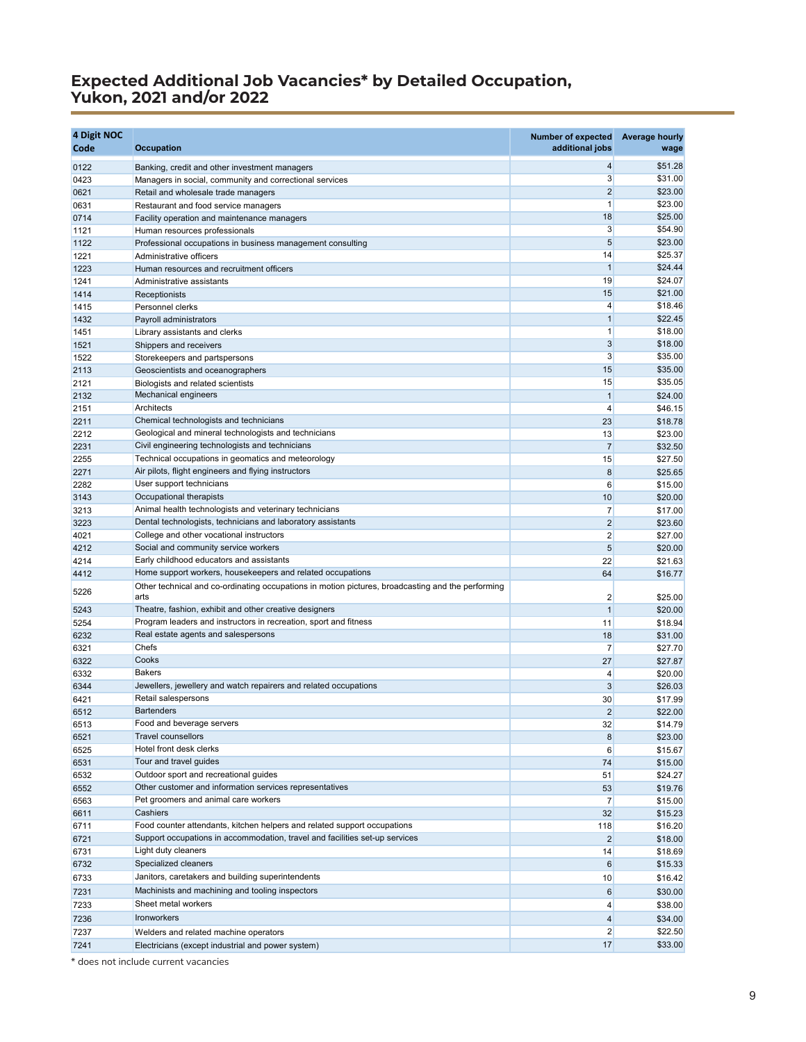### **Expected Additional Job Vacancies\* by Detailed Occupation, Yukon, 2021 and/or 2022**

| \$51.28<br>4<br>0122<br>Banking, credit and other investment managers<br>$\mathbf{3}$<br>\$31.00<br>0423<br>Managers in social, community and correctional services<br>\$23.00<br>$\overline{2}$<br>0621<br>Retail and wholesale trade managers<br>$\mathbf{1}$<br>\$23.00<br>0631<br>Restaurant and food service managers<br>18<br>\$25.00<br>0714<br>Facility operation and maintenance managers<br>3<br>\$54.90<br>1121<br>Human resources professionals<br>5<br>\$23.00<br>1122<br>Professional occupations in business management consulting<br>\$25.37<br>14<br>1221<br>Administrative officers<br>$\mathbf{1}$<br>\$24.44<br>1223<br>Human resources and recruitment officers<br>19<br>\$24.07<br>1241<br>Administrative assistants<br>\$21.00<br>15<br>1414<br>Receptionists<br>4<br>\$18.46<br>Personnel clerks<br>1415<br>\$22.45<br>$\mathbf{1}$<br>1432<br>Payroll administrators<br>$\mathbf{1}$<br>\$18.00<br>1451<br>Library assistants and clerks<br>3<br>\$18.00<br>1521<br>Shippers and receivers<br>3<br>\$35.00<br>1522<br>Storekeepers and partspersons<br>15<br>\$35.00<br>2113<br>Geoscientists and oceanographers<br>\$35.05<br>15<br>2121<br>Biologists and related scientists<br>Mechanical engineers<br>2132<br>$\mathbf{1}$<br>\$24.00<br>Architects<br>\$46.15<br>2151<br>4<br>Chemical technologists and technicians<br>\$18.78<br>23<br>2211<br>Geological and mineral technologists and technicians<br>2212<br>13<br>\$23.00<br>$\overline{7}$<br>Civil engineering technologists and technicians<br>2231<br>\$32.50<br>Technical occupations in geomatics and meteorology<br>\$27.50<br>2255<br>15<br>Air pilots, flight engineers and flying instructors<br>8<br>\$25.65<br>2271<br>User support technicians<br>\$15.00<br>2282<br>6<br>Occupational therapists<br>10<br>\$20.00<br>3143<br>Animal health technologists and veterinary technicians<br>7<br>\$17.00<br>3213<br>Dental technologists, technicians and laboratory assistants<br>$\overline{2}$<br>\$23.60<br>3223<br>$\overline{2}$<br>College and other vocational instructors<br>\$27.00<br>4021<br>Social and community service workers<br>5<br>\$20.00<br>4212<br>Early childhood educators and assistants<br>22<br>4214<br>\$21.63<br>Home support workers, housekeepers and related occupations<br>64<br>\$16.77<br>4412<br>Other technical and co-ordinating occupations in motion pictures, broadcasting and the performing<br>5226<br>arts<br>2<br>\$25.00<br>Theatre, fashion, exhibit and other creative designers<br>$\mathbf{1}$<br>\$20.00<br>5243<br>Program leaders and instructors in recreation, sport and fitness<br>5254<br>11<br>\$18.94<br>Real estate agents and salespersons<br>6232<br>18<br>\$31.00<br>Chefs<br>7<br>\$27.70<br>6321<br>Cooks<br>6322<br>27<br>\$27.87<br><b>Bakers</b><br>\$20.00<br>4<br>6332<br>Jewellers, jewellery and watch repairers and related occupations<br>6344<br>3<br>\$26.03<br>Retail salespersons<br>6421<br>30<br>\$17.99<br><b>Bartenders</b><br>$\overline{2}$<br>6512<br>\$22.00<br>Food and beverage servers<br>32<br>\$14.79<br>6513<br><b>Travel counsellors</b><br>8<br>\$23.00<br>6521<br>Hotel front desk clerks<br>6525<br>\$15.67<br>6<br>Tour and travel guides<br>\$15.00<br>6531<br>74<br>Outdoor sport and recreational quides<br>6532<br>\$24.27<br>51<br>Other customer and information services representatives<br>\$19.76<br>6552<br>53<br>Pet groomers and animal care workers<br>$\overline{7}$<br>\$15.00<br>6563<br>Cashiers<br>32<br>6611<br>\$15.23<br>Food counter attendants, kitchen helpers and related support occupations<br>\$16.20<br>6711<br>118<br>Support occupations in accommodation, travel and facilities set-up services<br>6721<br>2<br>\$18.00<br>Light duty cleaners<br>\$18.69<br>6731<br>14<br>Specialized cleaners<br>6<br>6732<br>\$15.33<br>Janitors, caretakers and building superintendents<br>6733<br>10<br>\$16.42<br>Machinists and machining and tooling inspectors<br>$6\,$<br>\$30.00<br>7231<br>Sheet metal workers<br>$\overline{4}$<br>\$38.00<br>7233<br>Ironworkers<br>\$34.00<br>7236<br>$\overline{4}$<br>$\overline{2}$<br>\$22.50<br>7237<br>Welders and related machine operators | 4 Digit NOC<br>Code | <b>Occupation</b>                                 | <b>Number of expected</b><br>additional jobs | <b>Average hourly</b><br>wage |
|-----------------------------------------------------------------------------------------------------------------------------------------------------------------------------------------------------------------------------------------------------------------------------------------------------------------------------------------------------------------------------------------------------------------------------------------------------------------------------------------------------------------------------------------------------------------------------------------------------------------------------------------------------------------------------------------------------------------------------------------------------------------------------------------------------------------------------------------------------------------------------------------------------------------------------------------------------------------------------------------------------------------------------------------------------------------------------------------------------------------------------------------------------------------------------------------------------------------------------------------------------------------------------------------------------------------------------------------------------------------------------------------------------------------------------------------------------------------------------------------------------------------------------------------------------------------------------------------------------------------------------------------------------------------------------------------------------------------------------------------------------------------------------------------------------------------------------------------------------------------------------------------------------------------------------------------------------------------------------------------------------------------------------------------------------------------------------------------------------------------------------------------------------------------------------------------------------------------------------------------------------------------------------------------------------------------------------------------------------------------------------------------------------------------------------------------------------------------------------------------------------------------------------------------------------------------------------------------------------------------------------------------------------------------------------------------------------------------------------------------------------------------------------------------------------------------------------------------------------------------------------------------------------------------------------------------------------------------------------------------------------------------------------------------------------------------------------------------------------------------------------------------------------------------------------------------------------------------------------------------------------------------------------------------------------------------------------------------------------------------------------------------------------------------------------------------------------------------------------------------------------------------------------------------------------------------------------------------------------------------------------------------------------------------------------------------------------------------------------------------------------------------------------------------------------------------------------------------------------------------------------------------------------------------------------------------------------------------------------------------------------------------------------------------------------------------------------------------------------------------------------------------------------------------------------------------------------------------|---------------------|---------------------------------------------------|----------------------------------------------|-------------------------------|
|                                                                                                                                                                                                                                                                                                                                                                                                                                                                                                                                                                                                                                                                                                                                                                                                                                                                                                                                                                                                                                                                                                                                                                                                                                                                                                                                                                                                                                                                                                                                                                                                                                                                                                                                                                                                                                                                                                                                                                                                                                                                                                                                                                                                                                                                                                                                                                                                                                                                                                                                                                                                                                                                                                                                                                                                                                                                                                                                                                                                                                                                                                                                                                                                                                                                                                                                                                                                                                                                                                                                                                                                                                                                                                                                                                                                                                                                                                                                                                                                                                                                                                                                                                                                                 |                     |                                                   |                                              |                               |
|                                                                                                                                                                                                                                                                                                                                                                                                                                                                                                                                                                                                                                                                                                                                                                                                                                                                                                                                                                                                                                                                                                                                                                                                                                                                                                                                                                                                                                                                                                                                                                                                                                                                                                                                                                                                                                                                                                                                                                                                                                                                                                                                                                                                                                                                                                                                                                                                                                                                                                                                                                                                                                                                                                                                                                                                                                                                                                                                                                                                                                                                                                                                                                                                                                                                                                                                                                                                                                                                                                                                                                                                                                                                                                                                                                                                                                                                                                                                                                                                                                                                                                                                                                                                                 |                     |                                                   |                                              |                               |
|                                                                                                                                                                                                                                                                                                                                                                                                                                                                                                                                                                                                                                                                                                                                                                                                                                                                                                                                                                                                                                                                                                                                                                                                                                                                                                                                                                                                                                                                                                                                                                                                                                                                                                                                                                                                                                                                                                                                                                                                                                                                                                                                                                                                                                                                                                                                                                                                                                                                                                                                                                                                                                                                                                                                                                                                                                                                                                                                                                                                                                                                                                                                                                                                                                                                                                                                                                                                                                                                                                                                                                                                                                                                                                                                                                                                                                                                                                                                                                                                                                                                                                                                                                                                                 |                     |                                                   |                                              |                               |
|                                                                                                                                                                                                                                                                                                                                                                                                                                                                                                                                                                                                                                                                                                                                                                                                                                                                                                                                                                                                                                                                                                                                                                                                                                                                                                                                                                                                                                                                                                                                                                                                                                                                                                                                                                                                                                                                                                                                                                                                                                                                                                                                                                                                                                                                                                                                                                                                                                                                                                                                                                                                                                                                                                                                                                                                                                                                                                                                                                                                                                                                                                                                                                                                                                                                                                                                                                                                                                                                                                                                                                                                                                                                                                                                                                                                                                                                                                                                                                                                                                                                                                                                                                                                                 |                     |                                                   |                                              |                               |
|                                                                                                                                                                                                                                                                                                                                                                                                                                                                                                                                                                                                                                                                                                                                                                                                                                                                                                                                                                                                                                                                                                                                                                                                                                                                                                                                                                                                                                                                                                                                                                                                                                                                                                                                                                                                                                                                                                                                                                                                                                                                                                                                                                                                                                                                                                                                                                                                                                                                                                                                                                                                                                                                                                                                                                                                                                                                                                                                                                                                                                                                                                                                                                                                                                                                                                                                                                                                                                                                                                                                                                                                                                                                                                                                                                                                                                                                                                                                                                                                                                                                                                                                                                                                                 |                     |                                                   |                                              |                               |
|                                                                                                                                                                                                                                                                                                                                                                                                                                                                                                                                                                                                                                                                                                                                                                                                                                                                                                                                                                                                                                                                                                                                                                                                                                                                                                                                                                                                                                                                                                                                                                                                                                                                                                                                                                                                                                                                                                                                                                                                                                                                                                                                                                                                                                                                                                                                                                                                                                                                                                                                                                                                                                                                                                                                                                                                                                                                                                                                                                                                                                                                                                                                                                                                                                                                                                                                                                                                                                                                                                                                                                                                                                                                                                                                                                                                                                                                                                                                                                                                                                                                                                                                                                                                                 |                     |                                                   |                                              |                               |
|                                                                                                                                                                                                                                                                                                                                                                                                                                                                                                                                                                                                                                                                                                                                                                                                                                                                                                                                                                                                                                                                                                                                                                                                                                                                                                                                                                                                                                                                                                                                                                                                                                                                                                                                                                                                                                                                                                                                                                                                                                                                                                                                                                                                                                                                                                                                                                                                                                                                                                                                                                                                                                                                                                                                                                                                                                                                                                                                                                                                                                                                                                                                                                                                                                                                                                                                                                                                                                                                                                                                                                                                                                                                                                                                                                                                                                                                                                                                                                                                                                                                                                                                                                                                                 |                     |                                                   |                                              |                               |
|                                                                                                                                                                                                                                                                                                                                                                                                                                                                                                                                                                                                                                                                                                                                                                                                                                                                                                                                                                                                                                                                                                                                                                                                                                                                                                                                                                                                                                                                                                                                                                                                                                                                                                                                                                                                                                                                                                                                                                                                                                                                                                                                                                                                                                                                                                                                                                                                                                                                                                                                                                                                                                                                                                                                                                                                                                                                                                                                                                                                                                                                                                                                                                                                                                                                                                                                                                                                                                                                                                                                                                                                                                                                                                                                                                                                                                                                                                                                                                                                                                                                                                                                                                                                                 |                     |                                                   |                                              |                               |
|                                                                                                                                                                                                                                                                                                                                                                                                                                                                                                                                                                                                                                                                                                                                                                                                                                                                                                                                                                                                                                                                                                                                                                                                                                                                                                                                                                                                                                                                                                                                                                                                                                                                                                                                                                                                                                                                                                                                                                                                                                                                                                                                                                                                                                                                                                                                                                                                                                                                                                                                                                                                                                                                                                                                                                                                                                                                                                                                                                                                                                                                                                                                                                                                                                                                                                                                                                                                                                                                                                                                                                                                                                                                                                                                                                                                                                                                                                                                                                                                                                                                                                                                                                                                                 |                     |                                                   |                                              |                               |
|                                                                                                                                                                                                                                                                                                                                                                                                                                                                                                                                                                                                                                                                                                                                                                                                                                                                                                                                                                                                                                                                                                                                                                                                                                                                                                                                                                                                                                                                                                                                                                                                                                                                                                                                                                                                                                                                                                                                                                                                                                                                                                                                                                                                                                                                                                                                                                                                                                                                                                                                                                                                                                                                                                                                                                                                                                                                                                                                                                                                                                                                                                                                                                                                                                                                                                                                                                                                                                                                                                                                                                                                                                                                                                                                                                                                                                                                                                                                                                                                                                                                                                                                                                                                                 |                     |                                                   |                                              |                               |
|                                                                                                                                                                                                                                                                                                                                                                                                                                                                                                                                                                                                                                                                                                                                                                                                                                                                                                                                                                                                                                                                                                                                                                                                                                                                                                                                                                                                                                                                                                                                                                                                                                                                                                                                                                                                                                                                                                                                                                                                                                                                                                                                                                                                                                                                                                                                                                                                                                                                                                                                                                                                                                                                                                                                                                                                                                                                                                                                                                                                                                                                                                                                                                                                                                                                                                                                                                                                                                                                                                                                                                                                                                                                                                                                                                                                                                                                                                                                                                                                                                                                                                                                                                                                                 |                     |                                                   |                                              |                               |
|                                                                                                                                                                                                                                                                                                                                                                                                                                                                                                                                                                                                                                                                                                                                                                                                                                                                                                                                                                                                                                                                                                                                                                                                                                                                                                                                                                                                                                                                                                                                                                                                                                                                                                                                                                                                                                                                                                                                                                                                                                                                                                                                                                                                                                                                                                                                                                                                                                                                                                                                                                                                                                                                                                                                                                                                                                                                                                                                                                                                                                                                                                                                                                                                                                                                                                                                                                                                                                                                                                                                                                                                                                                                                                                                                                                                                                                                                                                                                                                                                                                                                                                                                                                                                 |                     |                                                   |                                              |                               |
|                                                                                                                                                                                                                                                                                                                                                                                                                                                                                                                                                                                                                                                                                                                                                                                                                                                                                                                                                                                                                                                                                                                                                                                                                                                                                                                                                                                                                                                                                                                                                                                                                                                                                                                                                                                                                                                                                                                                                                                                                                                                                                                                                                                                                                                                                                                                                                                                                                                                                                                                                                                                                                                                                                                                                                                                                                                                                                                                                                                                                                                                                                                                                                                                                                                                                                                                                                                                                                                                                                                                                                                                                                                                                                                                                                                                                                                                                                                                                                                                                                                                                                                                                                                                                 |                     |                                                   |                                              |                               |
|                                                                                                                                                                                                                                                                                                                                                                                                                                                                                                                                                                                                                                                                                                                                                                                                                                                                                                                                                                                                                                                                                                                                                                                                                                                                                                                                                                                                                                                                                                                                                                                                                                                                                                                                                                                                                                                                                                                                                                                                                                                                                                                                                                                                                                                                                                                                                                                                                                                                                                                                                                                                                                                                                                                                                                                                                                                                                                                                                                                                                                                                                                                                                                                                                                                                                                                                                                                                                                                                                                                                                                                                                                                                                                                                                                                                                                                                                                                                                                                                                                                                                                                                                                                                                 |                     |                                                   |                                              |                               |
|                                                                                                                                                                                                                                                                                                                                                                                                                                                                                                                                                                                                                                                                                                                                                                                                                                                                                                                                                                                                                                                                                                                                                                                                                                                                                                                                                                                                                                                                                                                                                                                                                                                                                                                                                                                                                                                                                                                                                                                                                                                                                                                                                                                                                                                                                                                                                                                                                                                                                                                                                                                                                                                                                                                                                                                                                                                                                                                                                                                                                                                                                                                                                                                                                                                                                                                                                                                                                                                                                                                                                                                                                                                                                                                                                                                                                                                                                                                                                                                                                                                                                                                                                                                                                 |                     |                                                   |                                              |                               |
|                                                                                                                                                                                                                                                                                                                                                                                                                                                                                                                                                                                                                                                                                                                                                                                                                                                                                                                                                                                                                                                                                                                                                                                                                                                                                                                                                                                                                                                                                                                                                                                                                                                                                                                                                                                                                                                                                                                                                                                                                                                                                                                                                                                                                                                                                                                                                                                                                                                                                                                                                                                                                                                                                                                                                                                                                                                                                                                                                                                                                                                                                                                                                                                                                                                                                                                                                                                                                                                                                                                                                                                                                                                                                                                                                                                                                                                                                                                                                                                                                                                                                                                                                                                                                 |                     |                                                   |                                              |                               |
|                                                                                                                                                                                                                                                                                                                                                                                                                                                                                                                                                                                                                                                                                                                                                                                                                                                                                                                                                                                                                                                                                                                                                                                                                                                                                                                                                                                                                                                                                                                                                                                                                                                                                                                                                                                                                                                                                                                                                                                                                                                                                                                                                                                                                                                                                                                                                                                                                                                                                                                                                                                                                                                                                                                                                                                                                                                                                                                                                                                                                                                                                                                                                                                                                                                                                                                                                                                                                                                                                                                                                                                                                                                                                                                                                                                                                                                                                                                                                                                                                                                                                                                                                                                                                 |                     |                                                   |                                              |                               |
|                                                                                                                                                                                                                                                                                                                                                                                                                                                                                                                                                                                                                                                                                                                                                                                                                                                                                                                                                                                                                                                                                                                                                                                                                                                                                                                                                                                                                                                                                                                                                                                                                                                                                                                                                                                                                                                                                                                                                                                                                                                                                                                                                                                                                                                                                                                                                                                                                                                                                                                                                                                                                                                                                                                                                                                                                                                                                                                                                                                                                                                                                                                                                                                                                                                                                                                                                                                                                                                                                                                                                                                                                                                                                                                                                                                                                                                                                                                                                                                                                                                                                                                                                                                                                 |                     |                                                   |                                              |                               |
|                                                                                                                                                                                                                                                                                                                                                                                                                                                                                                                                                                                                                                                                                                                                                                                                                                                                                                                                                                                                                                                                                                                                                                                                                                                                                                                                                                                                                                                                                                                                                                                                                                                                                                                                                                                                                                                                                                                                                                                                                                                                                                                                                                                                                                                                                                                                                                                                                                                                                                                                                                                                                                                                                                                                                                                                                                                                                                                                                                                                                                                                                                                                                                                                                                                                                                                                                                                                                                                                                                                                                                                                                                                                                                                                                                                                                                                                                                                                                                                                                                                                                                                                                                                                                 |                     |                                                   |                                              |                               |
|                                                                                                                                                                                                                                                                                                                                                                                                                                                                                                                                                                                                                                                                                                                                                                                                                                                                                                                                                                                                                                                                                                                                                                                                                                                                                                                                                                                                                                                                                                                                                                                                                                                                                                                                                                                                                                                                                                                                                                                                                                                                                                                                                                                                                                                                                                                                                                                                                                                                                                                                                                                                                                                                                                                                                                                                                                                                                                                                                                                                                                                                                                                                                                                                                                                                                                                                                                                                                                                                                                                                                                                                                                                                                                                                                                                                                                                                                                                                                                                                                                                                                                                                                                                                                 |                     |                                                   |                                              |                               |
|                                                                                                                                                                                                                                                                                                                                                                                                                                                                                                                                                                                                                                                                                                                                                                                                                                                                                                                                                                                                                                                                                                                                                                                                                                                                                                                                                                                                                                                                                                                                                                                                                                                                                                                                                                                                                                                                                                                                                                                                                                                                                                                                                                                                                                                                                                                                                                                                                                                                                                                                                                                                                                                                                                                                                                                                                                                                                                                                                                                                                                                                                                                                                                                                                                                                                                                                                                                                                                                                                                                                                                                                                                                                                                                                                                                                                                                                                                                                                                                                                                                                                                                                                                                                                 |                     |                                                   |                                              |                               |
|                                                                                                                                                                                                                                                                                                                                                                                                                                                                                                                                                                                                                                                                                                                                                                                                                                                                                                                                                                                                                                                                                                                                                                                                                                                                                                                                                                                                                                                                                                                                                                                                                                                                                                                                                                                                                                                                                                                                                                                                                                                                                                                                                                                                                                                                                                                                                                                                                                                                                                                                                                                                                                                                                                                                                                                                                                                                                                                                                                                                                                                                                                                                                                                                                                                                                                                                                                                                                                                                                                                                                                                                                                                                                                                                                                                                                                                                                                                                                                                                                                                                                                                                                                                                                 |                     |                                                   |                                              |                               |
|                                                                                                                                                                                                                                                                                                                                                                                                                                                                                                                                                                                                                                                                                                                                                                                                                                                                                                                                                                                                                                                                                                                                                                                                                                                                                                                                                                                                                                                                                                                                                                                                                                                                                                                                                                                                                                                                                                                                                                                                                                                                                                                                                                                                                                                                                                                                                                                                                                                                                                                                                                                                                                                                                                                                                                                                                                                                                                                                                                                                                                                                                                                                                                                                                                                                                                                                                                                                                                                                                                                                                                                                                                                                                                                                                                                                                                                                                                                                                                                                                                                                                                                                                                                                                 |                     |                                                   |                                              |                               |
|                                                                                                                                                                                                                                                                                                                                                                                                                                                                                                                                                                                                                                                                                                                                                                                                                                                                                                                                                                                                                                                                                                                                                                                                                                                                                                                                                                                                                                                                                                                                                                                                                                                                                                                                                                                                                                                                                                                                                                                                                                                                                                                                                                                                                                                                                                                                                                                                                                                                                                                                                                                                                                                                                                                                                                                                                                                                                                                                                                                                                                                                                                                                                                                                                                                                                                                                                                                                                                                                                                                                                                                                                                                                                                                                                                                                                                                                                                                                                                                                                                                                                                                                                                                                                 |                     |                                                   |                                              |                               |
|                                                                                                                                                                                                                                                                                                                                                                                                                                                                                                                                                                                                                                                                                                                                                                                                                                                                                                                                                                                                                                                                                                                                                                                                                                                                                                                                                                                                                                                                                                                                                                                                                                                                                                                                                                                                                                                                                                                                                                                                                                                                                                                                                                                                                                                                                                                                                                                                                                                                                                                                                                                                                                                                                                                                                                                                                                                                                                                                                                                                                                                                                                                                                                                                                                                                                                                                                                                                                                                                                                                                                                                                                                                                                                                                                                                                                                                                                                                                                                                                                                                                                                                                                                                                                 |                     |                                                   |                                              |                               |
|                                                                                                                                                                                                                                                                                                                                                                                                                                                                                                                                                                                                                                                                                                                                                                                                                                                                                                                                                                                                                                                                                                                                                                                                                                                                                                                                                                                                                                                                                                                                                                                                                                                                                                                                                                                                                                                                                                                                                                                                                                                                                                                                                                                                                                                                                                                                                                                                                                                                                                                                                                                                                                                                                                                                                                                                                                                                                                                                                                                                                                                                                                                                                                                                                                                                                                                                                                                                                                                                                                                                                                                                                                                                                                                                                                                                                                                                                                                                                                                                                                                                                                                                                                                                                 |                     |                                                   |                                              |                               |
|                                                                                                                                                                                                                                                                                                                                                                                                                                                                                                                                                                                                                                                                                                                                                                                                                                                                                                                                                                                                                                                                                                                                                                                                                                                                                                                                                                                                                                                                                                                                                                                                                                                                                                                                                                                                                                                                                                                                                                                                                                                                                                                                                                                                                                                                                                                                                                                                                                                                                                                                                                                                                                                                                                                                                                                                                                                                                                                                                                                                                                                                                                                                                                                                                                                                                                                                                                                                                                                                                                                                                                                                                                                                                                                                                                                                                                                                                                                                                                                                                                                                                                                                                                                                                 |                     |                                                   |                                              |                               |
|                                                                                                                                                                                                                                                                                                                                                                                                                                                                                                                                                                                                                                                                                                                                                                                                                                                                                                                                                                                                                                                                                                                                                                                                                                                                                                                                                                                                                                                                                                                                                                                                                                                                                                                                                                                                                                                                                                                                                                                                                                                                                                                                                                                                                                                                                                                                                                                                                                                                                                                                                                                                                                                                                                                                                                                                                                                                                                                                                                                                                                                                                                                                                                                                                                                                                                                                                                                                                                                                                                                                                                                                                                                                                                                                                                                                                                                                                                                                                                                                                                                                                                                                                                                                                 |                     |                                                   |                                              |                               |
|                                                                                                                                                                                                                                                                                                                                                                                                                                                                                                                                                                                                                                                                                                                                                                                                                                                                                                                                                                                                                                                                                                                                                                                                                                                                                                                                                                                                                                                                                                                                                                                                                                                                                                                                                                                                                                                                                                                                                                                                                                                                                                                                                                                                                                                                                                                                                                                                                                                                                                                                                                                                                                                                                                                                                                                                                                                                                                                                                                                                                                                                                                                                                                                                                                                                                                                                                                                                                                                                                                                                                                                                                                                                                                                                                                                                                                                                                                                                                                                                                                                                                                                                                                                                                 |                     |                                                   |                                              |                               |
|                                                                                                                                                                                                                                                                                                                                                                                                                                                                                                                                                                                                                                                                                                                                                                                                                                                                                                                                                                                                                                                                                                                                                                                                                                                                                                                                                                                                                                                                                                                                                                                                                                                                                                                                                                                                                                                                                                                                                                                                                                                                                                                                                                                                                                                                                                                                                                                                                                                                                                                                                                                                                                                                                                                                                                                                                                                                                                                                                                                                                                                                                                                                                                                                                                                                                                                                                                                                                                                                                                                                                                                                                                                                                                                                                                                                                                                                                                                                                                                                                                                                                                                                                                                                                 |                     |                                                   |                                              |                               |
|                                                                                                                                                                                                                                                                                                                                                                                                                                                                                                                                                                                                                                                                                                                                                                                                                                                                                                                                                                                                                                                                                                                                                                                                                                                                                                                                                                                                                                                                                                                                                                                                                                                                                                                                                                                                                                                                                                                                                                                                                                                                                                                                                                                                                                                                                                                                                                                                                                                                                                                                                                                                                                                                                                                                                                                                                                                                                                                                                                                                                                                                                                                                                                                                                                                                                                                                                                                                                                                                                                                                                                                                                                                                                                                                                                                                                                                                                                                                                                                                                                                                                                                                                                                                                 |                     |                                                   |                                              |                               |
|                                                                                                                                                                                                                                                                                                                                                                                                                                                                                                                                                                                                                                                                                                                                                                                                                                                                                                                                                                                                                                                                                                                                                                                                                                                                                                                                                                                                                                                                                                                                                                                                                                                                                                                                                                                                                                                                                                                                                                                                                                                                                                                                                                                                                                                                                                                                                                                                                                                                                                                                                                                                                                                                                                                                                                                                                                                                                                                                                                                                                                                                                                                                                                                                                                                                                                                                                                                                                                                                                                                                                                                                                                                                                                                                                                                                                                                                                                                                                                                                                                                                                                                                                                                                                 |                     |                                                   |                                              |                               |
|                                                                                                                                                                                                                                                                                                                                                                                                                                                                                                                                                                                                                                                                                                                                                                                                                                                                                                                                                                                                                                                                                                                                                                                                                                                                                                                                                                                                                                                                                                                                                                                                                                                                                                                                                                                                                                                                                                                                                                                                                                                                                                                                                                                                                                                                                                                                                                                                                                                                                                                                                                                                                                                                                                                                                                                                                                                                                                                                                                                                                                                                                                                                                                                                                                                                                                                                                                                                                                                                                                                                                                                                                                                                                                                                                                                                                                                                                                                                                                                                                                                                                                                                                                                                                 |                     |                                                   |                                              |                               |
|                                                                                                                                                                                                                                                                                                                                                                                                                                                                                                                                                                                                                                                                                                                                                                                                                                                                                                                                                                                                                                                                                                                                                                                                                                                                                                                                                                                                                                                                                                                                                                                                                                                                                                                                                                                                                                                                                                                                                                                                                                                                                                                                                                                                                                                                                                                                                                                                                                                                                                                                                                                                                                                                                                                                                                                                                                                                                                                                                                                                                                                                                                                                                                                                                                                                                                                                                                                                                                                                                                                                                                                                                                                                                                                                                                                                                                                                                                                                                                                                                                                                                                                                                                                                                 |                     |                                                   |                                              |                               |
|                                                                                                                                                                                                                                                                                                                                                                                                                                                                                                                                                                                                                                                                                                                                                                                                                                                                                                                                                                                                                                                                                                                                                                                                                                                                                                                                                                                                                                                                                                                                                                                                                                                                                                                                                                                                                                                                                                                                                                                                                                                                                                                                                                                                                                                                                                                                                                                                                                                                                                                                                                                                                                                                                                                                                                                                                                                                                                                                                                                                                                                                                                                                                                                                                                                                                                                                                                                                                                                                                                                                                                                                                                                                                                                                                                                                                                                                                                                                                                                                                                                                                                                                                                                                                 |                     |                                                   |                                              |                               |
|                                                                                                                                                                                                                                                                                                                                                                                                                                                                                                                                                                                                                                                                                                                                                                                                                                                                                                                                                                                                                                                                                                                                                                                                                                                                                                                                                                                                                                                                                                                                                                                                                                                                                                                                                                                                                                                                                                                                                                                                                                                                                                                                                                                                                                                                                                                                                                                                                                                                                                                                                                                                                                                                                                                                                                                                                                                                                                                                                                                                                                                                                                                                                                                                                                                                                                                                                                                                                                                                                                                                                                                                                                                                                                                                                                                                                                                                                                                                                                                                                                                                                                                                                                                                                 |                     |                                                   |                                              |                               |
|                                                                                                                                                                                                                                                                                                                                                                                                                                                                                                                                                                                                                                                                                                                                                                                                                                                                                                                                                                                                                                                                                                                                                                                                                                                                                                                                                                                                                                                                                                                                                                                                                                                                                                                                                                                                                                                                                                                                                                                                                                                                                                                                                                                                                                                                                                                                                                                                                                                                                                                                                                                                                                                                                                                                                                                                                                                                                                                                                                                                                                                                                                                                                                                                                                                                                                                                                                                                                                                                                                                                                                                                                                                                                                                                                                                                                                                                                                                                                                                                                                                                                                                                                                                                                 |                     |                                                   |                                              |                               |
|                                                                                                                                                                                                                                                                                                                                                                                                                                                                                                                                                                                                                                                                                                                                                                                                                                                                                                                                                                                                                                                                                                                                                                                                                                                                                                                                                                                                                                                                                                                                                                                                                                                                                                                                                                                                                                                                                                                                                                                                                                                                                                                                                                                                                                                                                                                                                                                                                                                                                                                                                                                                                                                                                                                                                                                                                                                                                                                                                                                                                                                                                                                                                                                                                                                                                                                                                                                                                                                                                                                                                                                                                                                                                                                                                                                                                                                                                                                                                                                                                                                                                                                                                                                                                 |                     |                                                   |                                              |                               |
|                                                                                                                                                                                                                                                                                                                                                                                                                                                                                                                                                                                                                                                                                                                                                                                                                                                                                                                                                                                                                                                                                                                                                                                                                                                                                                                                                                                                                                                                                                                                                                                                                                                                                                                                                                                                                                                                                                                                                                                                                                                                                                                                                                                                                                                                                                                                                                                                                                                                                                                                                                                                                                                                                                                                                                                                                                                                                                                                                                                                                                                                                                                                                                                                                                                                                                                                                                                                                                                                                                                                                                                                                                                                                                                                                                                                                                                                                                                                                                                                                                                                                                                                                                                                                 |                     |                                                   |                                              |                               |
|                                                                                                                                                                                                                                                                                                                                                                                                                                                                                                                                                                                                                                                                                                                                                                                                                                                                                                                                                                                                                                                                                                                                                                                                                                                                                                                                                                                                                                                                                                                                                                                                                                                                                                                                                                                                                                                                                                                                                                                                                                                                                                                                                                                                                                                                                                                                                                                                                                                                                                                                                                                                                                                                                                                                                                                                                                                                                                                                                                                                                                                                                                                                                                                                                                                                                                                                                                                                                                                                                                                                                                                                                                                                                                                                                                                                                                                                                                                                                                                                                                                                                                                                                                                                                 |                     |                                                   |                                              |                               |
|                                                                                                                                                                                                                                                                                                                                                                                                                                                                                                                                                                                                                                                                                                                                                                                                                                                                                                                                                                                                                                                                                                                                                                                                                                                                                                                                                                                                                                                                                                                                                                                                                                                                                                                                                                                                                                                                                                                                                                                                                                                                                                                                                                                                                                                                                                                                                                                                                                                                                                                                                                                                                                                                                                                                                                                                                                                                                                                                                                                                                                                                                                                                                                                                                                                                                                                                                                                                                                                                                                                                                                                                                                                                                                                                                                                                                                                                                                                                                                                                                                                                                                                                                                                                                 |                     |                                                   |                                              |                               |
|                                                                                                                                                                                                                                                                                                                                                                                                                                                                                                                                                                                                                                                                                                                                                                                                                                                                                                                                                                                                                                                                                                                                                                                                                                                                                                                                                                                                                                                                                                                                                                                                                                                                                                                                                                                                                                                                                                                                                                                                                                                                                                                                                                                                                                                                                                                                                                                                                                                                                                                                                                                                                                                                                                                                                                                                                                                                                                                                                                                                                                                                                                                                                                                                                                                                                                                                                                                                                                                                                                                                                                                                                                                                                                                                                                                                                                                                                                                                                                                                                                                                                                                                                                                                                 |                     |                                                   |                                              |                               |
|                                                                                                                                                                                                                                                                                                                                                                                                                                                                                                                                                                                                                                                                                                                                                                                                                                                                                                                                                                                                                                                                                                                                                                                                                                                                                                                                                                                                                                                                                                                                                                                                                                                                                                                                                                                                                                                                                                                                                                                                                                                                                                                                                                                                                                                                                                                                                                                                                                                                                                                                                                                                                                                                                                                                                                                                                                                                                                                                                                                                                                                                                                                                                                                                                                                                                                                                                                                                                                                                                                                                                                                                                                                                                                                                                                                                                                                                                                                                                                                                                                                                                                                                                                                                                 |                     |                                                   |                                              |                               |
|                                                                                                                                                                                                                                                                                                                                                                                                                                                                                                                                                                                                                                                                                                                                                                                                                                                                                                                                                                                                                                                                                                                                                                                                                                                                                                                                                                                                                                                                                                                                                                                                                                                                                                                                                                                                                                                                                                                                                                                                                                                                                                                                                                                                                                                                                                                                                                                                                                                                                                                                                                                                                                                                                                                                                                                                                                                                                                                                                                                                                                                                                                                                                                                                                                                                                                                                                                                                                                                                                                                                                                                                                                                                                                                                                                                                                                                                                                                                                                                                                                                                                                                                                                                                                 |                     |                                                   |                                              |                               |
|                                                                                                                                                                                                                                                                                                                                                                                                                                                                                                                                                                                                                                                                                                                                                                                                                                                                                                                                                                                                                                                                                                                                                                                                                                                                                                                                                                                                                                                                                                                                                                                                                                                                                                                                                                                                                                                                                                                                                                                                                                                                                                                                                                                                                                                                                                                                                                                                                                                                                                                                                                                                                                                                                                                                                                                                                                                                                                                                                                                                                                                                                                                                                                                                                                                                                                                                                                                                                                                                                                                                                                                                                                                                                                                                                                                                                                                                                                                                                                                                                                                                                                                                                                                                                 |                     |                                                   |                                              |                               |
|                                                                                                                                                                                                                                                                                                                                                                                                                                                                                                                                                                                                                                                                                                                                                                                                                                                                                                                                                                                                                                                                                                                                                                                                                                                                                                                                                                                                                                                                                                                                                                                                                                                                                                                                                                                                                                                                                                                                                                                                                                                                                                                                                                                                                                                                                                                                                                                                                                                                                                                                                                                                                                                                                                                                                                                                                                                                                                                                                                                                                                                                                                                                                                                                                                                                                                                                                                                                                                                                                                                                                                                                                                                                                                                                                                                                                                                                                                                                                                                                                                                                                                                                                                                                                 |                     |                                                   |                                              |                               |
|                                                                                                                                                                                                                                                                                                                                                                                                                                                                                                                                                                                                                                                                                                                                                                                                                                                                                                                                                                                                                                                                                                                                                                                                                                                                                                                                                                                                                                                                                                                                                                                                                                                                                                                                                                                                                                                                                                                                                                                                                                                                                                                                                                                                                                                                                                                                                                                                                                                                                                                                                                                                                                                                                                                                                                                                                                                                                                                                                                                                                                                                                                                                                                                                                                                                                                                                                                                                                                                                                                                                                                                                                                                                                                                                                                                                                                                                                                                                                                                                                                                                                                                                                                                                                 |                     |                                                   |                                              |                               |
|                                                                                                                                                                                                                                                                                                                                                                                                                                                                                                                                                                                                                                                                                                                                                                                                                                                                                                                                                                                                                                                                                                                                                                                                                                                                                                                                                                                                                                                                                                                                                                                                                                                                                                                                                                                                                                                                                                                                                                                                                                                                                                                                                                                                                                                                                                                                                                                                                                                                                                                                                                                                                                                                                                                                                                                                                                                                                                                                                                                                                                                                                                                                                                                                                                                                                                                                                                                                                                                                                                                                                                                                                                                                                                                                                                                                                                                                                                                                                                                                                                                                                                                                                                                                                 |                     |                                                   |                                              |                               |
|                                                                                                                                                                                                                                                                                                                                                                                                                                                                                                                                                                                                                                                                                                                                                                                                                                                                                                                                                                                                                                                                                                                                                                                                                                                                                                                                                                                                                                                                                                                                                                                                                                                                                                                                                                                                                                                                                                                                                                                                                                                                                                                                                                                                                                                                                                                                                                                                                                                                                                                                                                                                                                                                                                                                                                                                                                                                                                                                                                                                                                                                                                                                                                                                                                                                                                                                                                                                                                                                                                                                                                                                                                                                                                                                                                                                                                                                                                                                                                                                                                                                                                                                                                                                                 |                     |                                                   |                                              |                               |
|                                                                                                                                                                                                                                                                                                                                                                                                                                                                                                                                                                                                                                                                                                                                                                                                                                                                                                                                                                                                                                                                                                                                                                                                                                                                                                                                                                                                                                                                                                                                                                                                                                                                                                                                                                                                                                                                                                                                                                                                                                                                                                                                                                                                                                                                                                                                                                                                                                                                                                                                                                                                                                                                                                                                                                                                                                                                                                                                                                                                                                                                                                                                                                                                                                                                                                                                                                                                                                                                                                                                                                                                                                                                                                                                                                                                                                                                                                                                                                                                                                                                                                                                                                                                                 |                     |                                                   |                                              |                               |
|                                                                                                                                                                                                                                                                                                                                                                                                                                                                                                                                                                                                                                                                                                                                                                                                                                                                                                                                                                                                                                                                                                                                                                                                                                                                                                                                                                                                                                                                                                                                                                                                                                                                                                                                                                                                                                                                                                                                                                                                                                                                                                                                                                                                                                                                                                                                                                                                                                                                                                                                                                                                                                                                                                                                                                                                                                                                                                                                                                                                                                                                                                                                                                                                                                                                                                                                                                                                                                                                                                                                                                                                                                                                                                                                                                                                                                                                                                                                                                                                                                                                                                                                                                                                                 |                     |                                                   |                                              |                               |
|                                                                                                                                                                                                                                                                                                                                                                                                                                                                                                                                                                                                                                                                                                                                                                                                                                                                                                                                                                                                                                                                                                                                                                                                                                                                                                                                                                                                                                                                                                                                                                                                                                                                                                                                                                                                                                                                                                                                                                                                                                                                                                                                                                                                                                                                                                                                                                                                                                                                                                                                                                                                                                                                                                                                                                                                                                                                                                                                                                                                                                                                                                                                                                                                                                                                                                                                                                                                                                                                                                                                                                                                                                                                                                                                                                                                                                                                                                                                                                                                                                                                                                                                                                                                                 |                     |                                                   |                                              |                               |
|                                                                                                                                                                                                                                                                                                                                                                                                                                                                                                                                                                                                                                                                                                                                                                                                                                                                                                                                                                                                                                                                                                                                                                                                                                                                                                                                                                                                                                                                                                                                                                                                                                                                                                                                                                                                                                                                                                                                                                                                                                                                                                                                                                                                                                                                                                                                                                                                                                                                                                                                                                                                                                                                                                                                                                                                                                                                                                                                                                                                                                                                                                                                                                                                                                                                                                                                                                                                                                                                                                                                                                                                                                                                                                                                                                                                                                                                                                                                                                                                                                                                                                                                                                                                                 |                     |                                                   |                                              |                               |
|                                                                                                                                                                                                                                                                                                                                                                                                                                                                                                                                                                                                                                                                                                                                                                                                                                                                                                                                                                                                                                                                                                                                                                                                                                                                                                                                                                                                                                                                                                                                                                                                                                                                                                                                                                                                                                                                                                                                                                                                                                                                                                                                                                                                                                                                                                                                                                                                                                                                                                                                                                                                                                                                                                                                                                                                                                                                                                                                                                                                                                                                                                                                                                                                                                                                                                                                                                                                                                                                                                                                                                                                                                                                                                                                                                                                                                                                                                                                                                                                                                                                                                                                                                                                                 |                     |                                                   |                                              |                               |
|                                                                                                                                                                                                                                                                                                                                                                                                                                                                                                                                                                                                                                                                                                                                                                                                                                                                                                                                                                                                                                                                                                                                                                                                                                                                                                                                                                                                                                                                                                                                                                                                                                                                                                                                                                                                                                                                                                                                                                                                                                                                                                                                                                                                                                                                                                                                                                                                                                                                                                                                                                                                                                                                                                                                                                                                                                                                                                                                                                                                                                                                                                                                                                                                                                                                                                                                                                                                                                                                                                                                                                                                                                                                                                                                                                                                                                                                                                                                                                                                                                                                                                                                                                                                                 |                     |                                                   |                                              |                               |
|                                                                                                                                                                                                                                                                                                                                                                                                                                                                                                                                                                                                                                                                                                                                                                                                                                                                                                                                                                                                                                                                                                                                                                                                                                                                                                                                                                                                                                                                                                                                                                                                                                                                                                                                                                                                                                                                                                                                                                                                                                                                                                                                                                                                                                                                                                                                                                                                                                                                                                                                                                                                                                                                                                                                                                                                                                                                                                                                                                                                                                                                                                                                                                                                                                                                                                                                                                                                                                                                                                                                                                                                                                                                                                                                                                                                                                                                                                                                                                                                                                                                                                                                                                                                                 |                     |                                                   |                                              |                               |
|                                                                                                                                                                                                                                                                                                                                                                                                                                                                                                                                                                                                                                                                                                                                                                                                                                                                                                                                                                                                                                                                                                                                                                                                                                                                                                                                                                                                                                                                                                                                                                                                                                                                                                                                                                                                                                                                                                                                                                                                                                                                                                                                                                                                                                                                                                                                                                                                                                                                                                                                                                                                                                                                                                                                                                                                                                                                                                                                                                                                                                                                                                                                                                                                                                                                                                                                                                                                                                                                                                                                                                                                                                                                                                                                                                                                                                                                                                                                                                                                                                                                                                                                                                                                                 |                     |                                                   |                                              |                               |
|                                                                                                                                                                                                                                                                                                                                                                                                                                                                                                                                                                                                                                                                                                                                                                                                                                                                                                                                                                                                                                                                                                                                                                                                                                                                                                                                                                                                                                                                                                                                                                                                                                                                                                                                                                                                                                                                                                                                                                                                                                                                                                                                                                                                                                                                                                                                                                                                                                                                                                                                                                                                                                                                                                                                                                                                                                                                                                                                                                                                                                                                                                                                                                                                                                                                                                                                                                                                                                                                                                                                                                                                                                                                                                                                                                                                                                                                                                                                                                                                                                                                                                                                                                                                                 |                     |                                                   |                                              |                               |
|                                                                                                                                                                                                                                                                                                                                                                                                                                                                                                                                                                                                                                                                                                                                                                                                                                                                                                                                                                                                                                                                                                                                                                                                                                                                                                                                                                                                                                                                                                                                                                                                                                                                                                                                                                                                                                                                                                                                                                                                                                                                                                                                                                                                                                                                                                                                                                                                                                                                                                                                                                                                                                                                                                                                                                                                                                                                                                                                                                                                                                                                                                                                                                                                                                                                                                                                                                                                                                                                                                                                                                                                                                                                                                                                                                                                                                                                                                                                                                                                                                                                                                                                                                                                                 | 7241                | Electricians (except industrial and power system) | 17                                           | \$33.00                       |

\* does not include current vacancies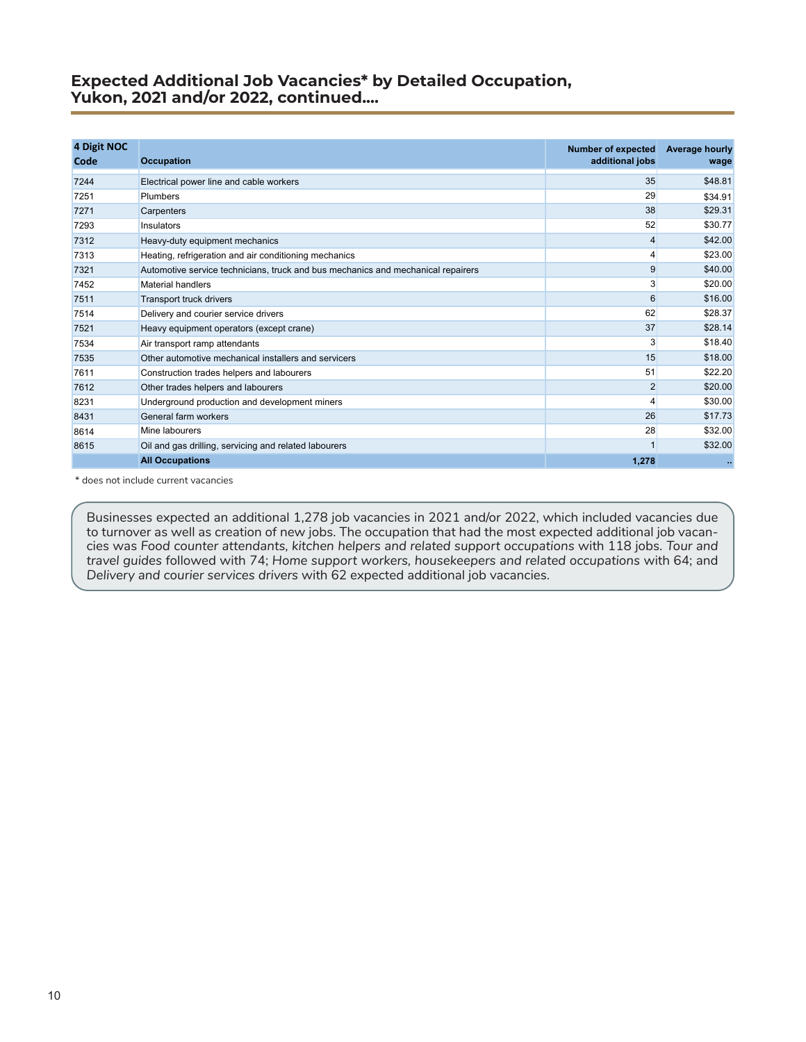### **Expected Additional Job Vacancies\* by Detailed Occupation, Yukon, 2021 and/or 2022, continued....**

| 4 Digit NOC<br>Code | <b>Occupation</b>                                                                | <b>Number of expected</b><br>additional jobs | Average hourly<br>wage |
|---------------------|----------------------------------------------------------------------------------|----------------------------------------------|------------------------|
| 7244                | Electrical power line and cable workers                                          | 35                                           | \$48.81                |
| 7251                | <b>Plumbers</b>                                                                  | 29                                           | \$34.91                |
| 7271                | Carpenters                                                                       | 38                                           | \$29.31                |
| 7293                | Insulators                                                                       | 52                                           | \$30.77                |
| 7312                | Heavy-duty equipment mechanics                                                   | 4                                            | \$42.00                |
| 7313                | Heating, refrigeration and air conditioning mechanics                            |                                              | \$23.00                |
| 7321                | Automotive service technicians, truck and bus mechanics and mechanical repairers | 9                                            | \$40.00                |
| 7452                | Material handlers                                                                | 3                                            | \$20.00                |
| 7511                | <b>Transport truck drivers</b>                                                   | 6                                            | \$16.00                |
| 7514                | Delivery and courier service drivers                                             | 62                                           | \$28.37                |
| 7521                | Heavy equipment operators (except crane)                                         | 37                                           | \$28.14                |
| 7534                | Air transport ramp attendants                                                    | 3                                            | \$18.40                |
| 7535                | Other automotive mechanical installers and servicers                             | 15                                           | \$18.00                |
| 7611                | Construction trades helpers and labourers                                        | 51                                           | \$22.20                |
| 7612                | Other trades helpers and labourers                                               | $\overline{2}$                               | \$20.00                |
| 8231                | Underground production and development miners                                    | $\overline{\mathbf{A}}$                      | \$30.00                |
| 8431                | General farm workers                                                             | 26                                           | \$17.73                |
| 8614                | Mine labourers                                                                   | 28                                           | \$32.00                |
| 8615                | Oil and gas drilling, servicing and related labourers                            |                                              | \$32.00                |
|                     | <b>All Occupations</b>                                                           | 1,278                                        |                        |

\* does not include current vacancies

Businesses expected an additional 1,278 job vacancies in 2021 and/or 2022, which included vacancies due to turnover as well as creation of new jobs. The occupation that had the most expected additional job vacancies was *Food counter attendants, kitchen helpers and related support occupations* with 118 jobs. *Tour and travel guides* followed with 74; *Home support workers, housekeepers and related occupations* with 64; and *Delivery and courier services drivers* with 62 expected additional job vacancies.